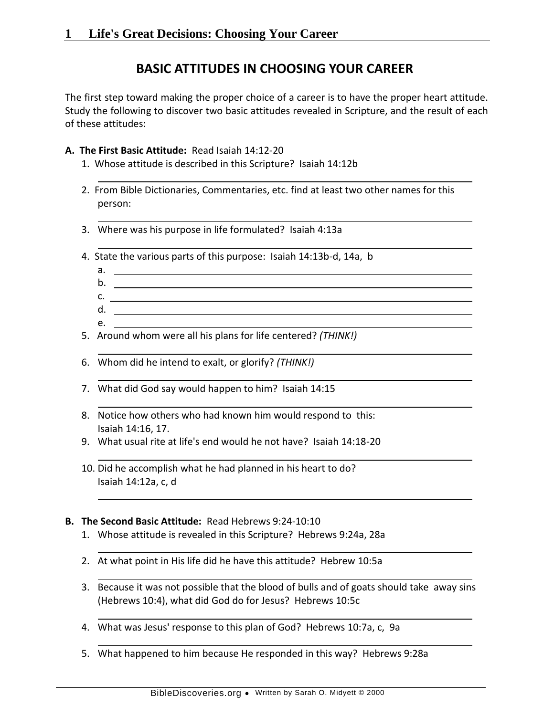# **BASIC ATTITUDES IN CHOOSING YOUR CAREER**

The first step toward making the proper choice of a career is to have the proper heart attitude. Study the following to discover two basic attitudes revealed in Scripture, and the result of each of these attitudes:

#### **A. The First Basic Attitude:** Read Isaiah 14:12-20

- 1. Whose attitude is described in this Scripture? Isaiah 14:12b
- 2. From Bible Dictionaries, Commentaries, etc. find at least two other names for this person:
- 3. Where was his purpose in life formulated? Isaiah 4:13a
- 4. State the various parts of this purpose: Isaiah 14:13b-d, 14a, b
	- a.
	- b.
	- $c.$   $\overline{\phantom{a}}$
	- d.
	- e.
- 5. Around whom were all his plans for life centered? *(THINK!)*
- 6. Whom did he intend to exalt, or glorify? *(THINK!)*
- 7. What did God say would happen to him? Isaiah 14:15
- 8. Notice how others who had known him would respond to this: Isaiah 14:16, 17.
- 9. What usual rite at life's end would he not have? Isaiah 14:18-20
- 10. Did he accomplish what he had planned in his heart to do? Isaiah 14:12a, c, d

### **B. The Second Basic Attitude:** Read Hebrews 9:24-10:10

- 1. Whose attitude is revealed in this Scripture? Hebrews 9:24a, 28a
- 2. At what point in His life did he have this attitude? Hebrew 10:5a
- 3. Because it was not possible that the blood of bulls and of goats should take away sins (Hebrews 10:4), what did God do for Jesus? Hebrews 10:5c
- 4. What was Jesus' response to this plan of God? Hebrews 10:7a, c, 9a
- 5. What happened to him because He responded in this way? Hebrews 9:28a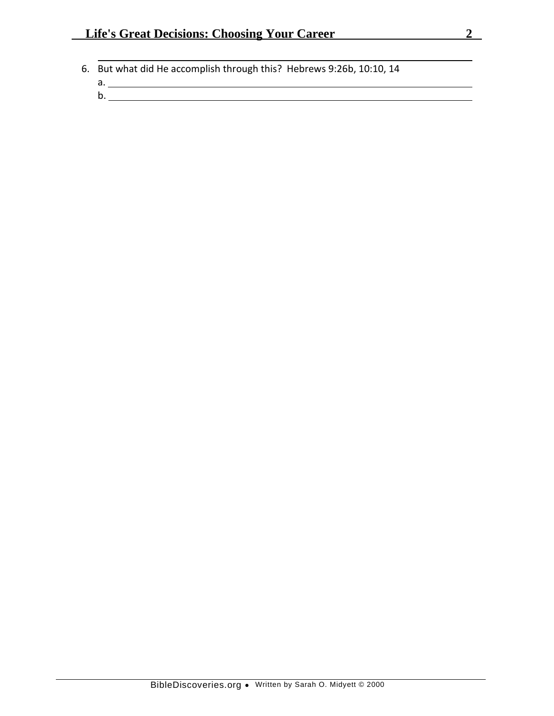- 6. But what did He accomplish through this? Hebrews 9:26b, 10:10, 14
	- a.
		- b.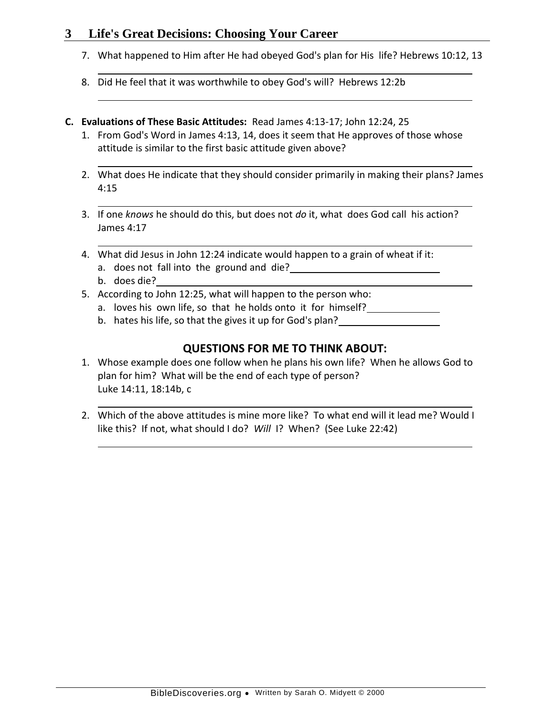- 7. What happened to Him after He had obeyed God's plan for His life? Hebrews 10:12, 13
- 8. Did He feel that it was worthwhile to obey God's will? Hebrews 12:2b
- **C. Evaluations of These Basic Attitudes:** Read James 4:13-17; John 12:24, 25
	- 1. From God's Word in James 4:13, 14, does it seem that He approves of those whose attitude is similar to the first basic attitude given above?
	- 2. What does He indicate that they should consider primarily in making their plans? James 4:15
	- 3. If one *knows* he should do this, but does not *do* it, what does God call his action? James 4:17
	- 4. What did Jesus in John 12:24 indicate would happen to a grain of wheat if it:
		- a. does not fall into the ground and die?
		- b. does die?
	- 5. According to John 12:25, what will happen to the person who:
		- a. loves his own life, so that he holds onto it for himself?
		- b. hates his life, so that the gives it up for God's plan?

- 1. Whose example does one follow when he plans his own life? When he allows God to plan for him? What will be the end of each type of person? Luke 14:11, 18:14b, c
- 2. Which of the above attitudes is mine more like? To what end will it lead me? Would I like this? If not, what should I do? *Will* I? When? (See Luke 22:42)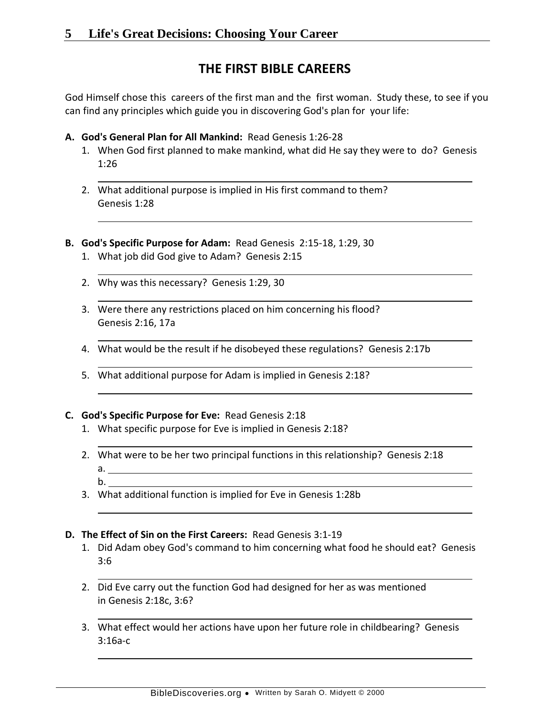# **THE FIRST BIBLE CAREERS**

God Himself chose this careers of the first man and the first woman. Study these, to see if you can find any principles which guide you in discovering God's plan for your life:

- **A. God's General Plan for All Mankind:** Read Genesis 1:26-28
	- 1. When God first planned to make mankind, what did He say they were to do? Genesis 1:26
	- 2. What additional purpose is implied in His first command to them? Genesis 1:28
- **B. God's Specific Purpose for Adam:** Read Genesis 2:15-18, 1:29, 30
	- 1. What job did God give to Adam? Genesis 2:15
	- 2. Why was this necessary? Genesis 1:29, 30
	- 3. Were there any restrictions placed on him concerning his flood? Genesis 2:16, 17a
	- 4. What would be the result if he disobeyed these regulations? Genesis 2:17b
	- 5. What additional purpose for Adam is implied in Genesis 2:18?

### **C. God's Specific Purpose for Eve:** Read Genesis 2:18

- 1. What specific purpose for Eve is implied in Genesis 2:18?
- 2. What were to be her two principal functions in this relationship? Genesis 2:18 a.
	- b.
- 3. What additional function is implied for Eve in Genesis 1:28b

### **D. The Effect of Sin on the First Careers:** Read Genesis 3:1-19

- 1. Did Adam obey God's command to him concerning what food he should eat? Genesis 3:6
- 2. Did Eve carry out the function God had designed for her as was mentioned in Genesis 2:18c, 3:6?
- 3. What effect would her actions have upon her future role in childbearing? Genesis 3:16a-c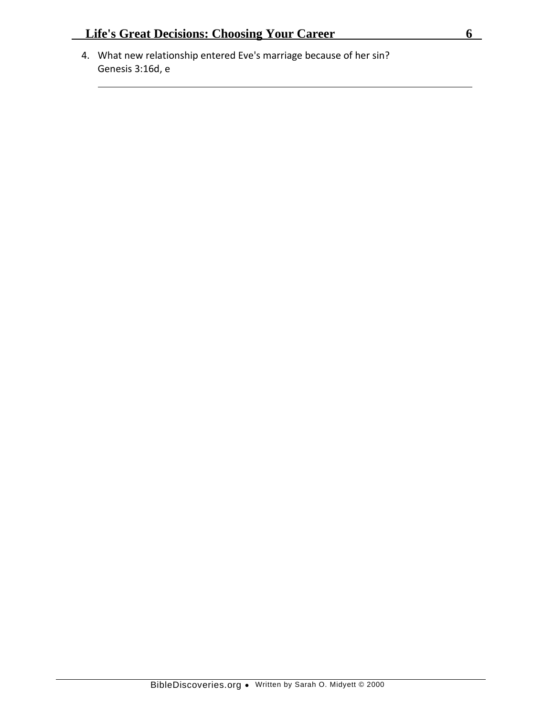4. What new relationship entered Eve's marriage because of her sin? Genesis 3:16d, e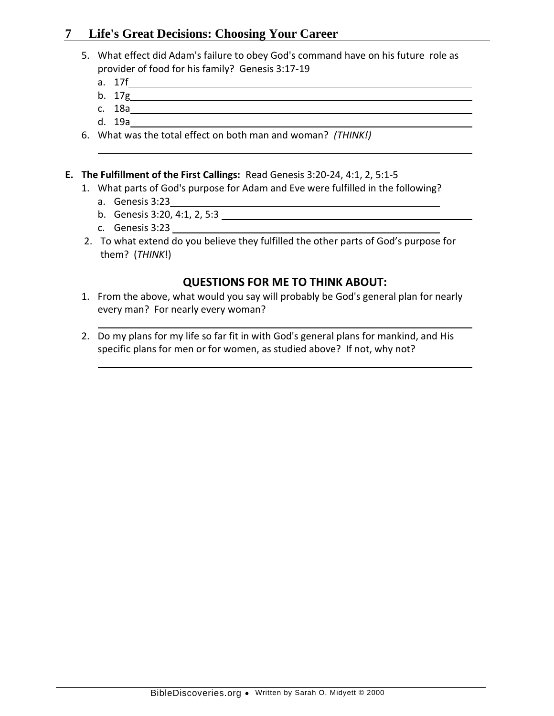- 5. What effect did Adam's failure to obey God's command have on his future role as provider of food for his family? Genesis 3:17-19
	- a. 17f
	- b. 17g
	- c. 18a
	- d. 19a
- 6. What was the total effect on both man and woman? *(THINK!)*
- **E. The Fulfillment of the First Callings:** Read Genesis 3:20-24, 4:1, 2, 5:1-5
	- 1. What parts of God's purpose for Adam and Eve were fulfilled in the following?
		- a. Genesis 3:23
		- b. Genesis 3:20, 4:1, 2, 5:3
		- c. Genesis 3:23
	- 2. To what extend do you believe they fulfilled the other parts of God's purpose for them? (*THINK*!)

- 1. From the above, what would you say will probably be God's general plan for nearly every man? For nearly every woman?
- 2. Do my plans for my life so far fit in with God's general plans for mankind, and His specific plans for men or for women, as studied above? If not, why not?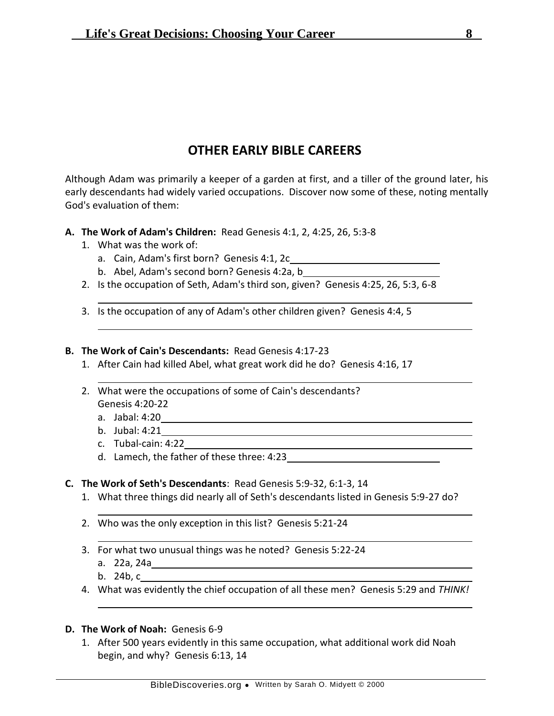# **OTHER EARLY BIBLE CAREERS**

Although Adam was primarily a keeper of a garden at first, and a tiller of the ground later, his early descendants had widely varied occupations. Discover now some of these, noting mentally God's evaluation of them:

- **A. The Work of Adam's Children:** Read Genesis 4:1, 2, 4:25, 26, 5:3-8
	- 1. What was the work of:
		- a. Cain, Adam's first born? Genesis 4:1, 2c
		- b. Abel, Adam's second born? Genesis 4:2a, b
	- 2. Is the occupation of Seth, Adam's third son, given? Genesis 4:25, 26, 5:3, 6-8
	- 3. Is the occupation of any of Adam's other children given? Genesis 4:4, 5

### **B. The Work of Cain's Descendants:** Read Genesis 4:17-23

- 1. After Cain had killed Abel, what great work did he do? Genesis 4:16, 17
- 2. What were the occupations of some of Cain's descendants? Genesis 4:20-22
	- a. Jabal: 4:20
	- b. Jubal: 4:21
	- c. Tubal-cain: 4:22
	- d. Lamech, the father of these three: 4:23
- **C. The Work of Seth's Descendants**: Read Genesis 5:9-32, 6:1-3, 14
	- 1. What three things did nearly all of Seth's descendants listed in Genesis 5:9-27 do?

- 2. Who was the only exception in this list? Genesis 5:21-24
- 3. For what two unusual things was he noted? Genesis 5:22-24
	- a. 22a, 24a
	- b. 24b, c
- 4. What was evidently the chief occupation of all these men? Genesis 5:29 and *THINK!*
- **D. The Work of Noah:** Genesis 6-9
	- 1. After 500 years evidently in this same occupation, what additional work did Noah begin, and why? Genesis 6:13, 14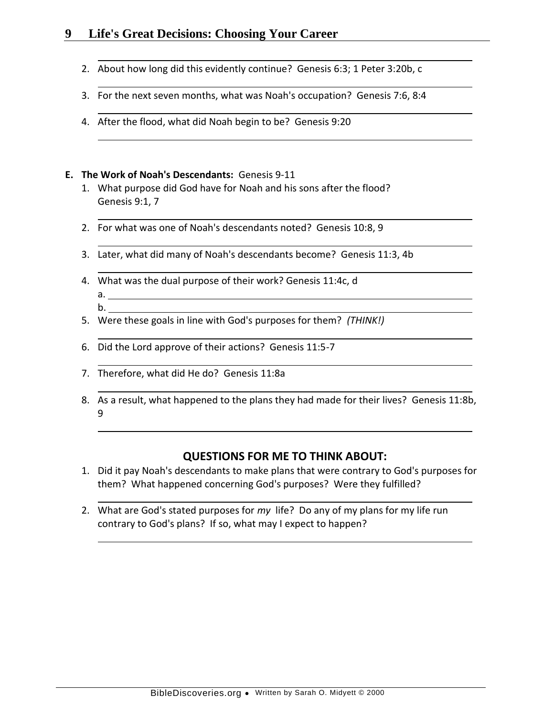- 2. About how long did this evidently continue? Genesis 6:3; 1 Peter 3:20b, c
- 3. For the next seven months, what was Noah's occupation? Genesis 7:6, 8:4
- 4. After the flood, what did Noah begin to be? Genesis 9:20

#### **E. The Work of Noah's Descendants:** Genesis 9-11

- 1. What purpose did God have for Noah and his sons after the flood? Genesis 9:1, 7
- 2. For what was one of Noah's descendants noted? Genesis 10:8, 9
- 3. Later, what did many of Noah's descendants become? Genesis 11:3, 4b
- 4. What was the dual purpose of their work? Genesis 11:4c, d a.
	- b.
- 5. Were these goals in line with God's purposes for them? *(THINK!)*
- 6. Did the Lord approve of their actions? Genesis 11:5-7
- 7. Therefore, what did He do? Genesis 11:8a
- 8. As a result, what happened to the plans they had made for their lives? Genesis 11:8b, 9

- 1. Did it pay Noah's descendants to make plans that were contrary to God's purposes for them? What happened concerning God's purposes? Were they fulfilled?
- 2. What are God's stated purposes for *my* life? Do any of my plans for my life run contrary to God's plans? If so, what may I expect to happen?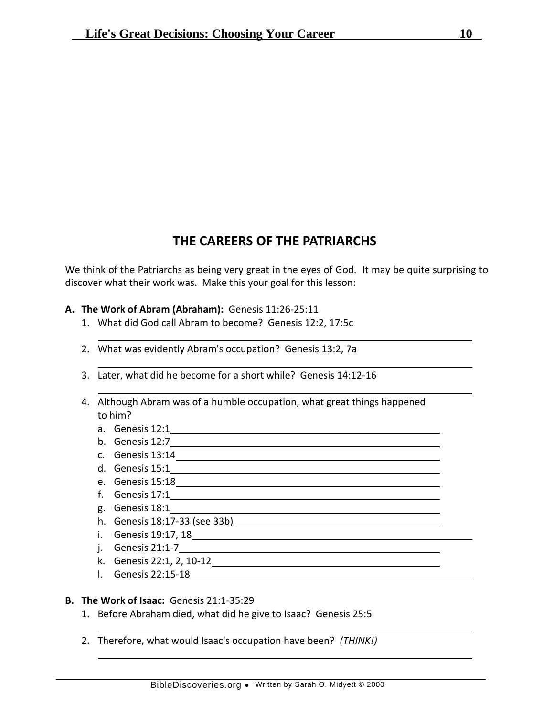## **THE CAREERS OF THE PATRIARCHS**

We think of the Patriarchs as being very great in the eyes of God. It may be quite surprising to discover what their work was. Make this your goal for this lesson:

### **A. The Work of Abram (Abraham):** Genesis 11:26-25:11

- 1. What did God call Abram to become? Genesis 12:2, 17:5c
- 2. What was evidently Abram's occupation? Genesis 13:2, 7a
- 3. Later, what did he become for a short while? Genesis 14:12-16
- 4. Although Abram was of a humble occupation, what great things happened to him?

- a. Genesis 12:1
- b. Genesis 12:7
- c. Genesis 13:14
- d. Genesis 15:1
- e. Genesis 15:18
- f. Genesis 17:1
- g. Genesis 18:1
- h. Genesis 18:17-33 (see 33b)
- i. Genesis 19:17, 18
- j. Genesis 21:1-7
- k. Genesis 22:1, 2, 10-12
- l. Genesis 22:15-18

### **B. The Work of Isaac:** Genesis 21:1-35:29

- 1. Before Abraham died, what did he give to Isaac? Genesis 25:5
- 2. Therefore, what would Isaac's occupation have been? *(THINK!)*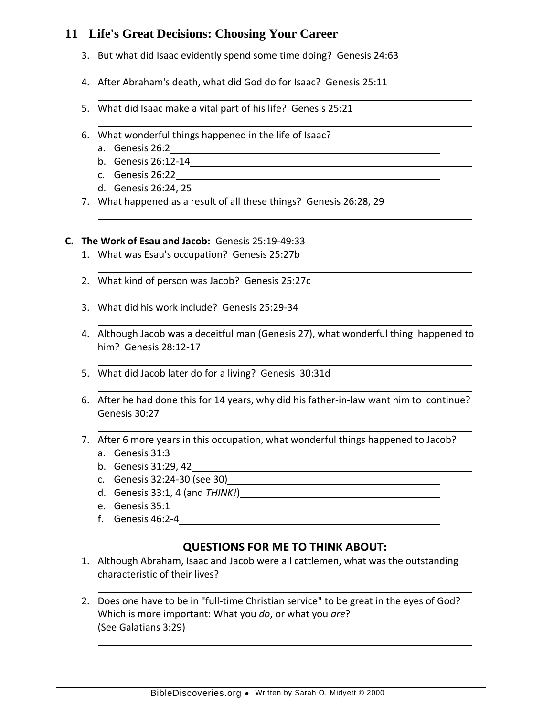- 3. But what did Isaac evidently spend some time doing? Genesis 24:63
- 4. After Abraham's death, what did God do for Isaac? Genesis 25:11
- 5. What did Isaac make a vital part of his life? Genesis 25:21
- 6. What wonderful things happened in the life of Isaac?
	- a. Genesis 26:2
	- b. Genesis 26:12-14
	- c. Genesis 26:22
	- d. Genesis 26:24, 25
- 7. What happened as a result of all these things? Genesis 26:28, 29

### **C. The Work of Esau and Jacob:** Genesis 25:19-49:33

- 1. What was Esau's occupation? Genesis 25:27b
- 2. What kind of person was Jacob? Genesis 25:27c
- 3. What did his work include? Genesis 25:29-34
- 4. Although Jacob was a deceitful man (Genesis 27), what wonderful thing happened to him? Genesis 28:12-17
- 5. What did Jacob later do for a living? Genesis 30:31d
- 6. After he had done this for 14 years, why did his father-in-law want him to continue? Genesis 30:27
- 7. After 6 more years in this occupation, what wonderful things happened to Jacob?
	- a. Genesis 31:3
	- b. Genesis 31:29, 42
	- c. Genesis 32:24-30 (see 30)
	- d. Genesis 33:1, 4 (and *THINK!*)
	- e. Genesis 35:1
	- f. Genesis 46:2-4

- 1. Although Abraham, Isaac and Jacob were all cattlemen, what was the outstanding characteristic of their lives?
- 2. Does one have to be in "full-time Christian service" to be great in the eyes of God? Which is more important: What you *do*, or what you *are*? (See Galatians 3:29)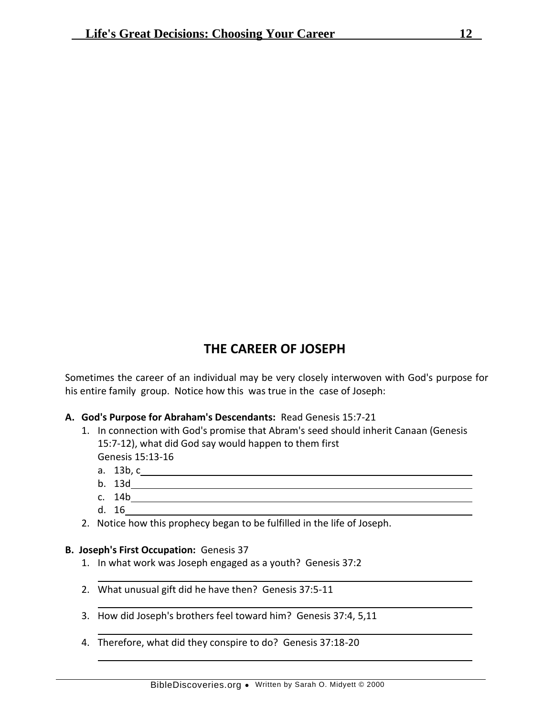## **THE CAREER OF JOSEPH**

Sometimes the career of an individual may be very closely interwoven with God's purpose for his entire family group. Notice how this was true in the case of Joseph:

### **A. God's Purpose for Abraham's Descendants:** Read Genesis 15:7-21

- 1. In connection with God's promise that Abram's seed should inherit Canaan (Genesis 15:7-12), what did God say would happen to them first Genesis 15:13-16
	- a. 13b, c
	- b. 13d
	- c. 14b
	- d. 16
- 2. Notice how this prophecy began to be fulfilled in the life of Joseph.

### **B. Joseph's First Occupation:** Genesis 37

- 1. In what work was Joseph engaged as a youth? Genesis 37:2
- 2. What unusual gift did he have then? Genesis 37:5-11
- 3. How did Joseph's brothers feel toward him? Genesis 37:4, 5,11
- 4. Therefore, what did they conspire to do? Genesis 37:18-20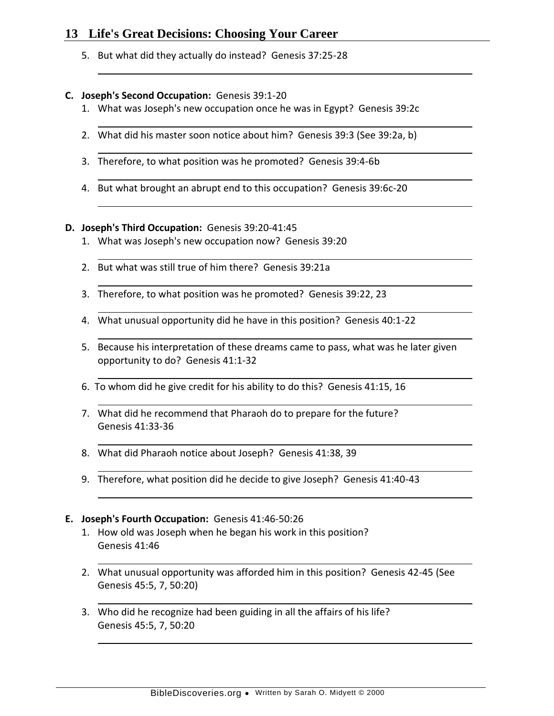5. But what did they actually do instead? Genesis 37:25-28

### **C. Joseph's Second Occupation:** Genesis 39:1-20

- 1. What was Joseph's new occupation once he was in Egypt? Genesis 39:2c
- 2. What did his master soon notice about him? Genesis 39:3 (See 39:2a, b)
- 3. Therefore, to what position was he promoted? Genesis 39:4-6b
- 4. But what brought an abrupt end to this occupation? Genesis 39:6c-20

### **D. Joseph's Third Occupation:** Genesis 39:20-41:45

- 1. What was Joseph's new occupation now? Genesis 39:20
- 2. But what was still true of him there? Genesis 39:21a
- 3. Therefore, to what position was he promoted? Genesis 39:22, 23
- 4. What unusual opportunity did he have in this position? Genesis 40:1-22
- 5. Because his interpretation of these dreams came to pass, what was he later given opportunity to do? Genesis 41:1-32
- 6. To whom did he give credit for his ability to do this? Genesis 41:15, 16
- 7. What did he recommend that Pharaoh do to prepare for the future? Genesis 41:33-36
- 8. What did Pharaoh notice about Joseph? Genesis 41:38, 39
- 9. Therefore, what position did he decide to give Joseph? Genesis 41:40-43

### **E. Joseph's Fourth Occupation:** Genesis 41:46-50:26

- 1. How old was Joseph when he began his work in this position? Genesis 41:46
- 2. What unusual opportunity was afforded him in this position? Genesis 42-45 (See Genesis 45:5, 7, 50:20)
- 3. Who did he recognize had been guiding in all the affairs of his life? Genesis 45:5, 7, 50:20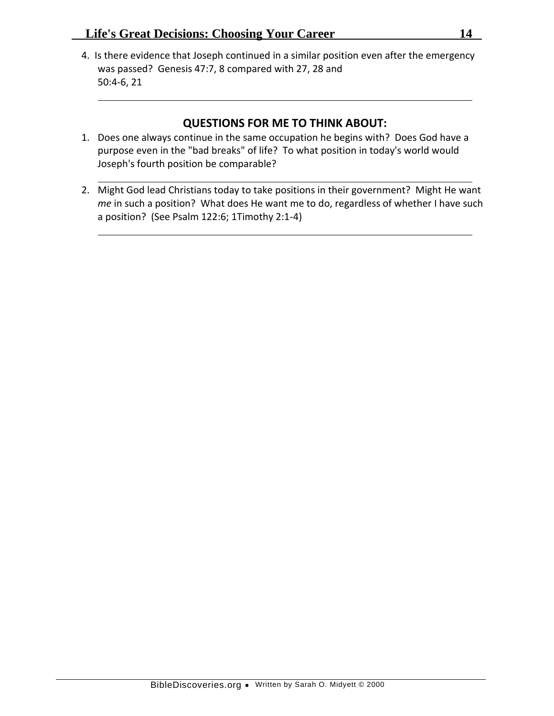4. Is there evidence that Joseph continued in a similar position even after the emergency was passed? Genesis 47:7, 8 compared with 27, 28 and 50:4-6, 21

- 1. Does one always continue in the same occupation he begins with? Does God have a purpose even in the "bad breaks" of life? To what position in today's world would Joseph's fourth position be comparable?
- 2. Might God lead Christians today to take positions in their government? Might He want *me* in such a position? What does He want me to do, regardless of whether I have such a position? (See Psalm 122:6; 1Timothy 2:1-4)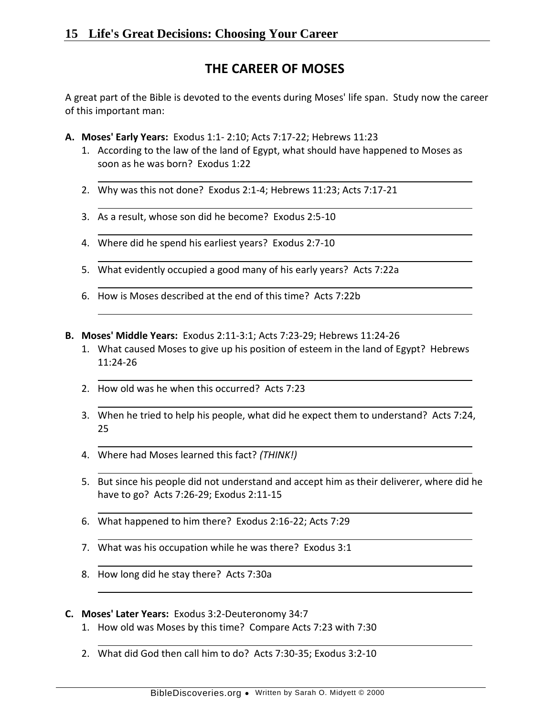# **THE CAREER OF MOSES**

A great part of the Bible is devoted to the events during Moses' life span. Study now the career of this important man:

- **A. Moses' Early Years:** Exodus 1:1- 2:10; Acts 7:17-22; Hebrews 11:23
	- 1. According to the law of the land of Egypt, what should have happened to Moses as soon as he was born? Exodus 1:22
	- 2. Why was this not done? Exodus 2:1-4; Hebrews 11:23; Acts 7:17-21
	- 3. As a result, whose son did he become? Exodus 2:5-10
	- 4. Where did he spend his earliest years? Exodus 2:7-10
	- 5. What evidently occupied a good many of his early years? Acts 7:22a
	- 6. How is Moses described at the end of this time? Acts 7:22b
- **B. Moses' Middle Years:** Exodus 2:11-3:1; Acts 7:23-29; Hebrews 11:24-26
	- 1. What caused Moses to give up his position of esteem in the land of Egypt? Hebrews 11:24-26
	- 2. How old was he when this occurred? Acts 7:23
	- 3. When he tried to help his people, what did he expect them to understand? Acts 7:24, 25
	- 4. Where had Moses learned this fact? *(THINK!)*
	- 5. But since his people did not understand and accept him as their deliverer, where did he have to go? Acts 7:26-29; Exodus 2:11-15
	- 6. What happened to him there? Exodus 2:16-22; Acts 7:29
	- 7. What was his occupation while he was there? Exodus 3:1
	- 8. How long did he stay there? Acts 7:30a

#### **C. Moses' Later Years:** Exodus 3:2-Deuteronomy 34:7

- 1. How old was Moses by this time? Compare Acts 7:23 with 7:30
- 2. What did God then call him to do? Acts 7:30-35; Exodus 3:2-10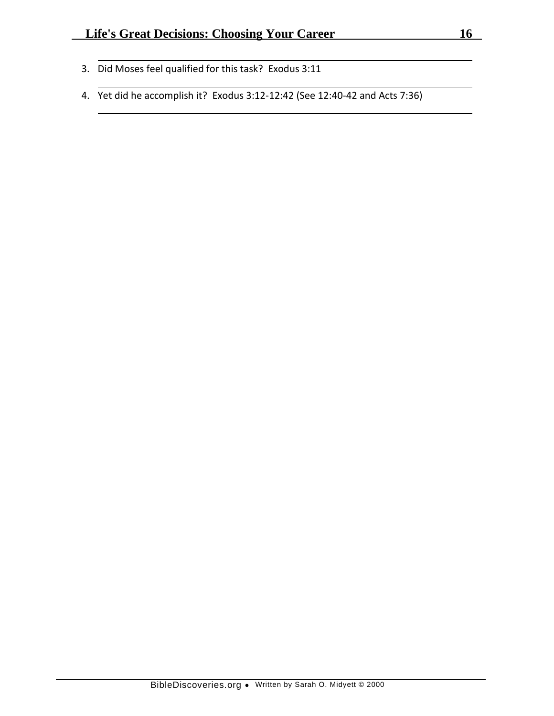- 3. Did Moses feel qualified for this task? Exodus 3:11
- 4. Yet did he accomplish it? Exodus 3:12-12:42 (See 12:40-42 and Acts 7:36)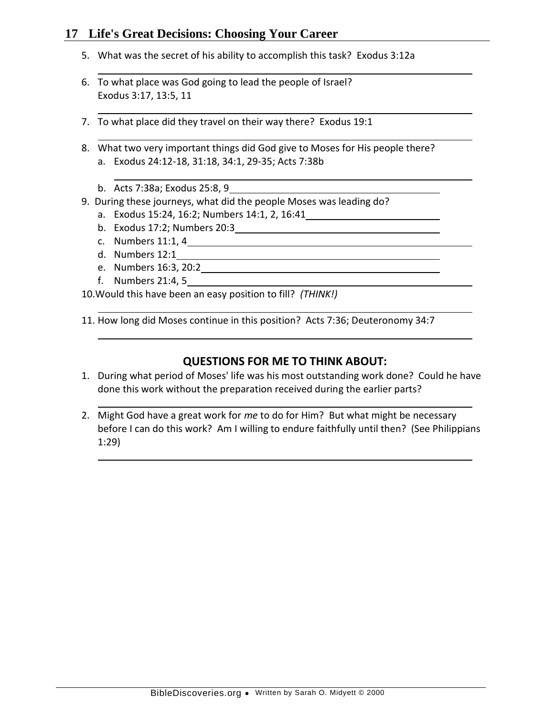- 5. What was the secret of his ability to accomplish this task? Exodus 3:12a
- 6. To what place was God going to lead the people of Israel? Exodus 3:17, 13:5, 11
- 7. To what place did they travel on their way there? Exodus 19:1
- 8. What two very important things did God give to Moses for His people there? a. Exodus 24:12-18, 31:18, 34:1, 29-35; Acts 7:38b
	- b. Acts 7:38a; Exodus 25:8, 9
- 9. During these journeys, what did the people Moses was leading do?
	- a. Exodus 15:24, 16:2; Numbers 14:1, 2, 16:41
	- b. Exodus 17:2; Numbers 20:3
	- c. Numbers 11:1, 4
	- d. Numbers 12:1
	- e. Numbers 16:3, 20:2
	- f. Numbers 21:4, 5

10.Would this have been an easy position to fill? *(THINK!)*

11. How long did Moses continue in this position? Acts 7:36; Deuteronomy 34:7

- 1. During what period of Moses' life was his most outstanding work done? Could he have done this work without the preparation received during the earlier parts?
- 2. Might God have a great work for *me* to do for Him? But what might be necessary before I can do this work? Am I willing to endure faithfully until then? (See Philippians 1:29)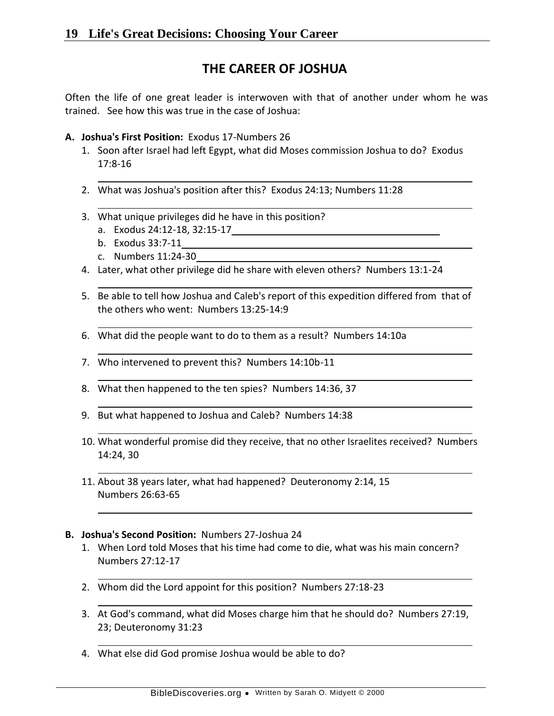# **THE CAREER OF JOSHUA**

Often the life of one great leader is interwoven with that of another under whom he was trained. See how this was true in the case of Joshua:

- **A. Joshua's First Position:** Exodus 17-Numbers 26
	- 1. Soon after Israel had left Egypt, what did Moses commission Joshua to do? Exodus 17:8-16
	- 2. What was Joshua's position after this? Exodus 24:13; Numbers 11:28
	- 3. What unique privileges did he have in this position?
		- a. Exodus 24:12-18, 32:15-17
		- b. Exodus 33:7-11
		- c. Numbers 11:24-30
	- 4. Later, what other privilege did he share with eleven others? Numbers 13:1-24
	- 5. Be able to tell how Joshua and Caleb's report of this expedition differed from that of the others who went: Numbers 13:25-14:9
	- 6. What did the people want to do to them as a result? Numbers 14:10a
	- 7. Who intervened to prevent this? Numbers 14:10b-11
	- 8. What then happened to the ten spies? Numbers 14:36, 37
	- 9. But what happened to Joshua and Caleb? Numbers 14:38
	- 10. What wonderful promise did they receive, that no other Israelites received? Numbers 14:24, 30
	- 11. About 38 years later, what had happened? Deuteronomy 2:14, 15 Numbers 26:63-65

### **B. Joshua's Second Position:** Numbers 27-Joshua 24

- 1. When Lord told Moses that his time had come to die, what was his main concern? Numbers 27:12-17
- 2. Whom did the Lord appoint for this position? Numbers 27:18-23
- 3. At God's command, what did Moses charge him that he should do? Numbers 27:19, 23; Deuteronomy 31:23
- 4. What else did God promise Joshua would be able to do?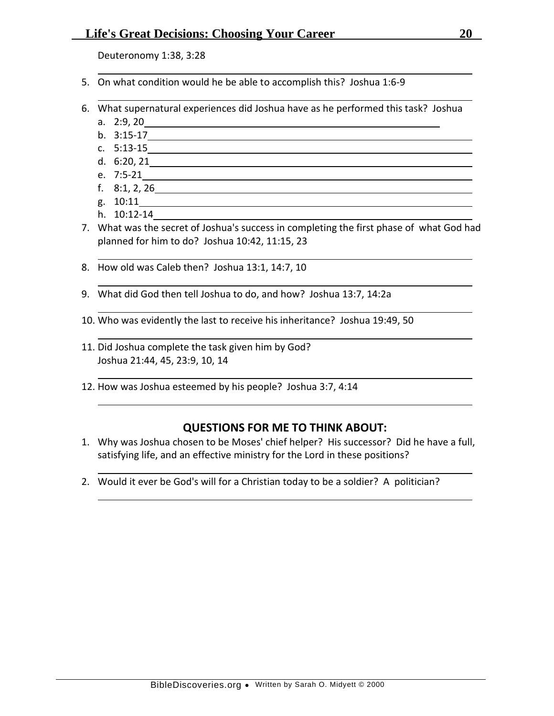Deuteronomy 1:38, 3:28

- 5. On what condition would he be able to accomplish this? Joshua 1:6-9
- 6. What supernatural experiences did Joshua have as he performed this task? Joshua
	- a. 2:9, 20
	- b. 3:15-17
	- c. 5:13-15
	- d. 6:20, 21
	- e. 7:5-21
	- f. 8:1, 2, 26
	- g. 10:11
	- h. 10:12-14
- 7. What was the secret of Joshua's success in completing the first phase of what God had planned for him to do? Joshua 10:42, 11:15, 23
- 8. How old was Caleb then? Joshua 13:1, 14:7, 10
- 9. What did God then tell Joshua to do, and how? Joshua 13:7, 14:2a
- 10. Who was evidently the last to receive his inheritance? Joshua 19:49, 50
- 11. Did Joshua complete the task given him by God? Joshua 21:44, 45, 23:9, 10, 14
- 12. How was Joshua esteemed by his people? Joshua 3:7, 4:14

- 1. Why was Joshua chosen to be Moses' chief helper? His successor? Did he have a full, satisfying life, and an effective ministry for the Lord in these positions?
- 2. Would it ever be God's will for a Christian today to be a soldier? A politician?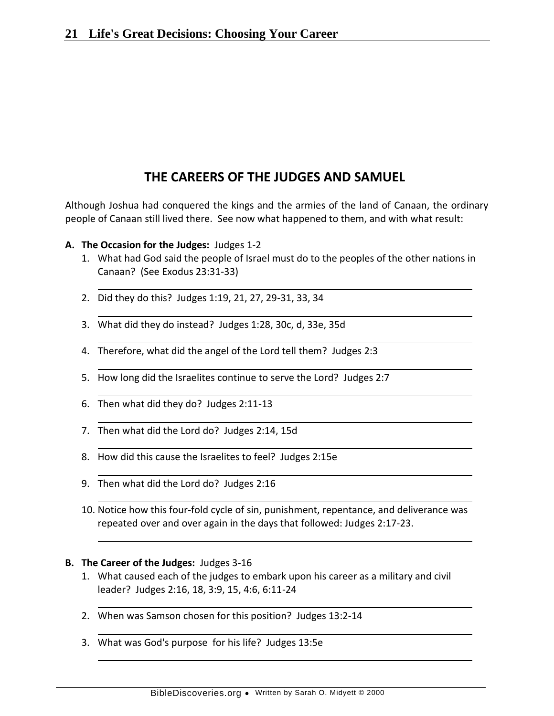# **THE CAREERS OF THE JUDGES AND SAMUEL**

Although Joshua had conquered the kings and the armies of the land of Canaan, the ordinary people of Canaan still lived there. See now what happened to them, and with what result:

- **A. The Occasion for the Judges:** Judges 1-2
	- 1. What had God said the people of Israel must do to the peoples of the other nations in Canaan? (See Exodus 23:31-33)
	- 2. Did they do this? Judges 1:19, 21, 27, 29-31, 33, 34
	- 3. What did they do instead? Judges 1:28, 30c, d, 33e, 35d
	- 4. Therefore, what did the angel of the Lord tell them? Judges 2:3
	- 5. How long did the Israelites continue to serve the Lord? Judges 2:7
	- 6. Then what did they do? Judges 2:11-13
	- 7. Then what did the Lord do? Judges 2:14, 15d
	- 8. How did this cause the Israelites to feel? Judges 2:15e
	- 9. Then what did the Lord do? Judges 2:16
	- 10. Notice how this four-fold cycle of sin, punishment, repentance, and deliverance was repeated over and over again in the days that followed: Judges 2:17-23.

#### **B. The Career of the Judges:** Judges 3-16

- 1. What caused each of the judges to embark upon his career as a military and civil leader? Judges 2:16, 18, 3:9, 15, 4:6, 6:11-24
- 2. When was Samson chosen for this position? Judges 13:2-14
- 3. What was God's purpose for his life? Judges 13:5e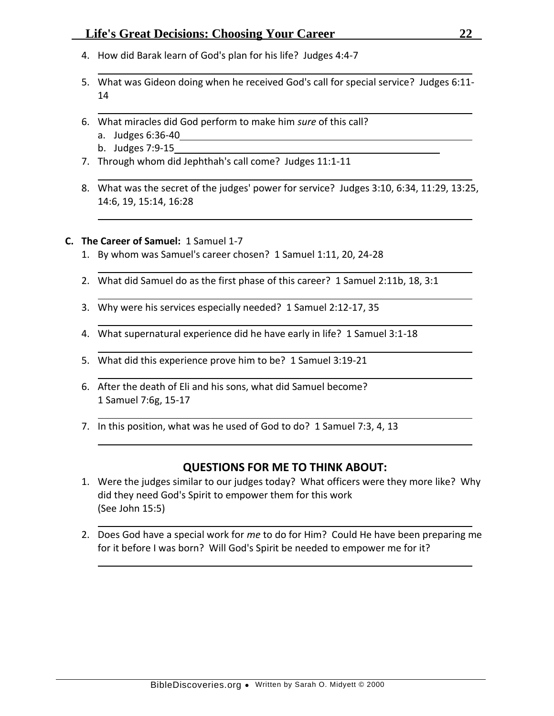- 4. How did Barak learn of God's plan for his life? Judges 4:4-7
- 5. What was Gideon doing when he received God's call for special service? Judges 6:11- 14
- 6. What miracles did God perform to make him *sure* of this call?
	- a. Judges 6:36-40
	- b. Judges 7:9-15
- 7. Through whom did Jephthah's call come? Judges 11:1-11
- 8. What was the secret of the judges' power for service? Judges 3:10, 6:34, 11:29, 13:25, 14:6, 19, 15:14, 16:28

### **C. The Career of Samuel:** 1 Samuel 1-7

- 1. By whom was Samuel's career chosen? 1 Samuel 1:11, 20, 24-28
- 2. What did Samuel do as the first phase of this career? 1 Samuel 2:11b, 18, 3:1
- 3. Why were his services especially needed? 1 Samuel 2:12-17, 35
- 4. What supernatural experience did he have early in life? 1 Samuel 3:1-18
- 5. What did this experience prove him to be? 1 Samuel 3:19-21
- 6. After the death of Eli and his sons, what did Samuel become? 1 Samuel 7:6g, 15-17
- 7. In this position, what was he used of God to do? 1 Samuel 7:3, 4, 13

- 1. Were the judges similar to our judges today? What officers were they more like? Why did they need God's Spirit to empower them for this work (See John 15:5)
- 2. Does God have a special work for *me* to do for Him? Could He have been preparing me for it before I was born? Will God's Spirit be needed to empower me for it?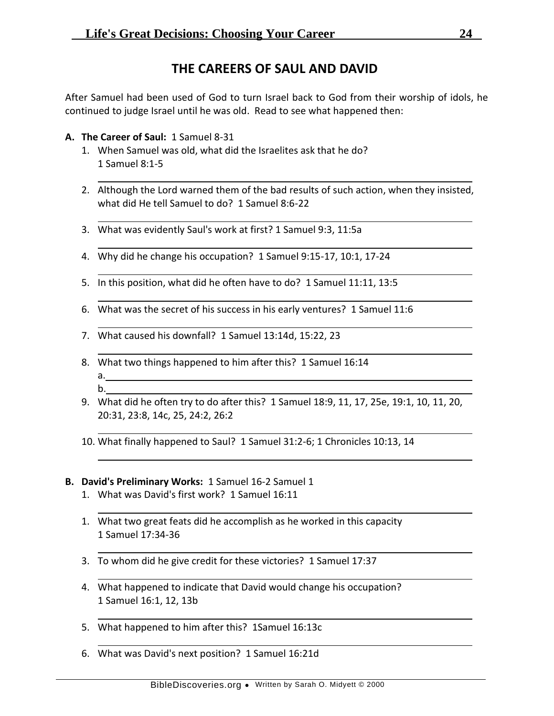# **THE CAREERS OF SAUL AND DAVID**

After Samuel had been used of God to turn Israel back to God from their worship of idols, he continued to judge Israel until he was old. Read to see what happened then:

- **A. The Career of Saul:** 1 Samuel 8-31
	- 1. When Samuel was old, what did the Israelites ask that he do? 1 Samuel 8:1-5
	- 2. Although the Lord warned them of the bad results of such action, when they insisted, what did He tell Samuel to do? 1 Samuel 8:6-22
	- 3. What was evidently Saul's work at first? 1 Samuel 9:3, 11:5a
	- 4. Why did he change his occupation? 1 Samuel 9:15-17, 10:1, 17-24
	- 5. In this position, what did he often have to do? 1 Samuel 11:11, 13:5
	- 6. What was the secret of his success in his early ventures? 1 Samuel 11:6
	- 7. What caused his downfall? 1 Samuel 13:14d, 15:22, 23
	- 8. What two things happened to him after this? 1 Samuel 16:14 a. b.
	- 9. What did he often try to do after this? 1 Samuel 18:9, 11, 17, 25e, 19:1, 10, 11, 20, 20:31, 23:8, 14c, 25, 24:2, 26:2
	- 10. What finally happened to Saul? 1 Samuel 31:2-6; 1 Chronicles 10:13, 14

### **B. David's Preliminary Works:** 1 Samuel 16-2 Samuel 1

- 1. What was David's first work? 1 Samuel 16:11
- 1. What two great feats did he accomplish as he worked in this capacity 1 Samuel 17:34-36
- 3. To whom did he give credit for these victories? 1 Samuel 17:37
- 4. What happened to indicate that David would change his occupation? 1 Samuel 16:1, 12, 13b
- 5. What happened to him after this? 1Samuel 16:13c
- 6. What was David's next position? 1 Samuel 16:21d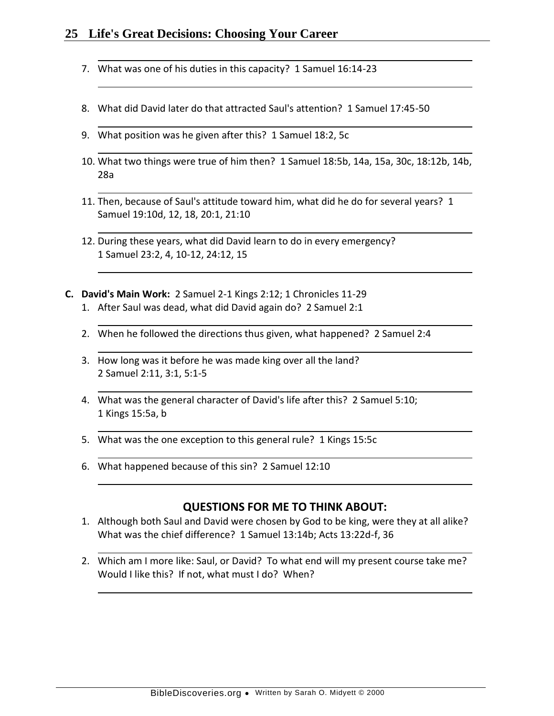- 7. What was one of his duties in this capacity? 1 Samuel 16:14-23
- 8. What did David later do that attracted Saul's attention? 1 Samuel 17:45-50
- 9. What position was he given after this? 1 Samuel 18:2, 5c
- 10. What two things were true of him then? 1 Samuel 18:5b, 14a, 15a, 30c, 18:12b, 14b, 28a
- 11. Then, because of Saul's attitude toward him, what did he do for several years? 1 Samuel 19:10d, 12, 18, 20:1, 21:10
- 12. During these years, what did David learn to do in every emergency? 1 Samuel 23:2, 4, 10-12, 24:12, 15
- **C. David's Main Work:** 2 Samuel 2-1 Kings 2:12; 1 Chronicles 11-29 1. After Saul was dead, what did David again do? 2 Samuel 2:1
	- 2. When he followed the directions thus given, what happened? 2 Samuel 2:4
	- 3. How long was it before he was made king over all the land? 2 Samuel 2:11, 3:1, 5:1-5
	- 4. What was the general character of David's life after this? 2 Samuel 5:10; 1 Kings 15:5a, b
	- 5. What was the one exception to this general rule? 1 Kings 15:5c
	- 6. What happened because of this sin? 2 Samuel 12:10

- 1. Although both Saul and David were chosen by God to be king, were they at all alike? What was the chief difference? 1 Samuel 13:14b; Acts 13:22d-f, 36
- 2. Which am I more like: Saul, or David? To what end will my present course take me? Would I like this? If not, what must I do? When?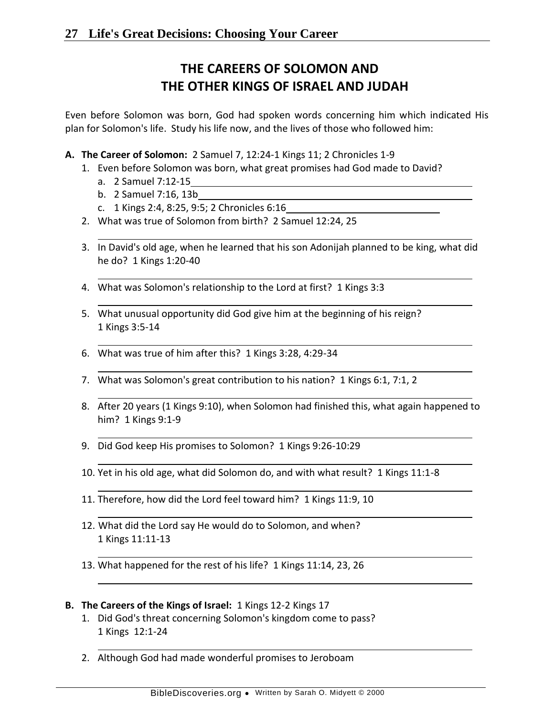# **THE CAREERS OF SOLOMON AND THE OTHER KINGS OF ISRAEL AND JUDAH**

Even before Solomon was born, God had spoken words concerning him which indicated His plan for Solomon's life. Study his life now, and the lives of those who followed him:

- **A. The Career of Solomon:** 2 Samuel 7, 12:24-1 Kings 11; 2 Chronicles 1-9
	- 1. Even before Solomon was born, what great promises had God made to David?
		- a. 2 Samuel 7:12-15
		- b. 2 Samuel 7:16, 13b
		- c. 1 Kings 2:4, 8:25, 9:5; 2 Chronicles 6:16
	- 2. What was true of Solomon from birth? 2 Samuel 12:24, 25
	- 3. In David's old age, when he learned that his son Adonijah planned to be king, what did he do? 1 Kings 1:20-40
	- 4. What was Solomon's relationship to the Lord at first? 1 Kings 3:3
	- 5. What unusual opportunity did God give him at the beginning of his reign? 1 Kings 3:5-14
	- 6. What was true of him after this? 1 Kings 3:28, 4:29-34
	- 7. What was Solomon's great contribution to his nation? 1 Kings 6:1, 7:1, 2
	- 8. After 20 years (1 Kings 9:10), when Solomon had finished this, what again happened to him? 1 Kings 9:1-9
	- 9. Did God keep His promises to Solomon? 1 Kings 9:26-10:29
	- 10. Yet in his old age, what did Solomon do, and with what result? 1 Kings 11:1-8
	- 11. Therefore, how did the Lord feel toward him? 1 Kings 11:9, 10
	- 12. What did the Lord say He would do to Solomon, and when? 1 Kings 11:11-13
	- 13. What happened for the rest of his life? 1 Kings 11:14, 23, 26
- **B. The Careers of the Kings of Israel:** 1 Kings 12-2 Kings 17
	- 1. Did God's threat concerning Solomon's kingdom come to pass? 1 Kings 12:1-24
	- 2. Although God had made wonderful promises to Jeroboam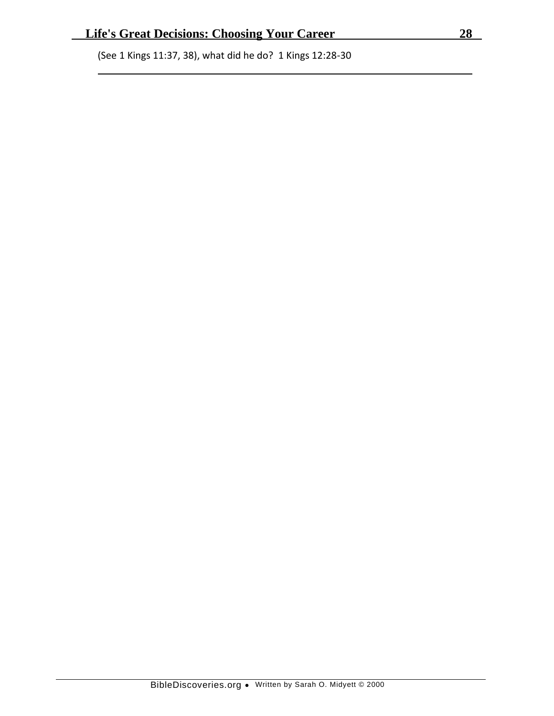(See 1 Kings 11:37, 38), what did he do? 1 Kings 12:28-30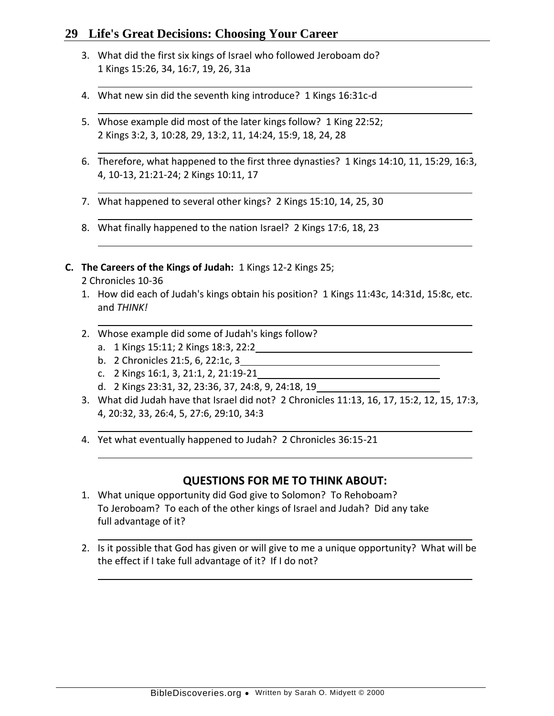- 3. What did the first six kings of Israel who followed Jeroboam do? 1 Kings 15:26, 34, 16:7, 19, 26, 31a
- 4. What new sin did the seventh king introduce? 1 Kings 16:31c-d
- 5. Whose example did most of the later kings follow? 1 King 22:52; 2 Kings 3:2, 3, 10:28, 29, 13:2, 11, 14:24, 15:9, 18, 24, 28
- 6. Therefore, what happened to the first three dynasties? 1 Kings 14:10, 11, 15:29, 16:3, 4, 10-13, 21:21-24; 2 Kings 10:11, 17
- 7. What happened to several other kings? 2 Kings 15:10, 14, 25, 30
- 8. What finally happened to the nation Israel? 2 Kings 17:6, 18, 23
- **C. The Careers of the Kings of Judah:** 1 Kings 12-2 Kings 25;

### 2 Chronicles 10-36

- 1. How did each of Judah's kings obtain his position? 1 Kings 11:43c, 14:31d, 15:8c, etc. and *THINK!*
- 2. Whose example did some of Judah's kings follow?
	- a. 1 Kings 15:11; 2 Kings 18:3, 22:2
	- b. 2 Chronicles 21:5, 6, 22:1c, 3
	- c. 2 Kings 16:1, 3, 21:1, 2, 21:19-21
	- d. 2 Kings 23:31, 32, 23:36, 37, 24:8, 9, 24:18, 19
- 3. What did Judah have that Israel did not? 2 Chronicles 11:13, 16, 17, 15:2, 12, 15, 17:3, 4, 20:32, 33, 26:4, 5, 27:6, 29:10, 34:3
- 4. Yet what eventually happened to Judah? 2 Chronicles 36:15-21

- 1. What unique opportunity did God give to Solomon? To Rehoboam? To Jeroboam? To each of the other kings of Israel and Judah? Did any take full advantage of it?
- 2. Is it possible that God has given or will give to me a unique opportunity? What will be the effect if I take full advantage of it? If I do not?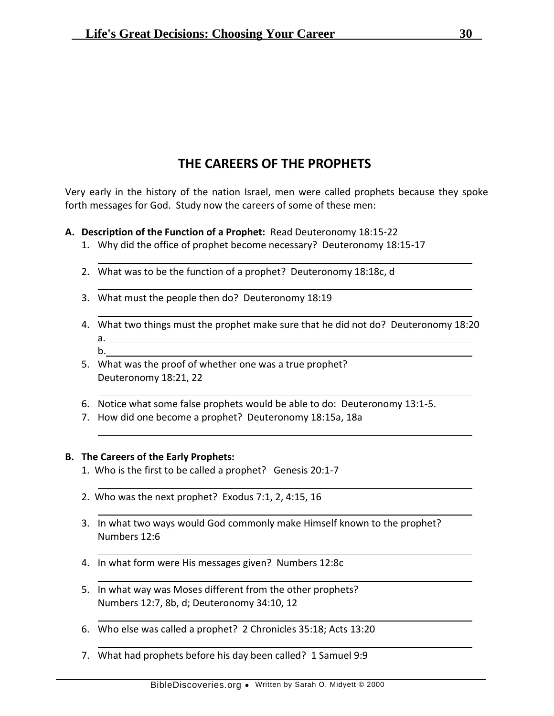# **THE CAREERS OF THE PROPHETS**

Very early in the history of the nation Israel, men were called prophets because they spoke forth messages for God. Study now the careers of some of these men:

### **A. Description of the Function of a Prophet:** Read Deuteronomy 18:15-22

- 1. Why did the office of prophet become necessary? Deuteronomy 18:15-17
- 2. What was to be the function of a prophet? Deuteronomy 18:18c, d
- 3. What must the people then do? Deuteronomy 18:19
- 4. What two things must the prophet make sure that he did not do? Deuteronomy 18:20 a.
	- b.
- 5. What was the proof of whether one was a true prophet? Deuteronomy 18:21, 22
- 6. Notice what some false prophets would be able to do: Deuteronomy 13:1-5.
- 7. How did one become a prophet? Deuteronomy 18:15a, 18a

### **B. The Careers of the Early Prophets:**

- 1. Who is the first to be called a prophet? Genesis 20:1-7
- 2. Who was the next prophet? Exodus 7:1, 2, 4:15, 16
- 3. In what two ways would God commonly make Himself known to the prophet? Numbers 12:6
- 4. In what form were His messages given? Numbers 12:8c
- 5. In what way was Moses different from the other prophets? Numbers 12:7, 8b, d; Deuteronomy 34:10, 12
- 6. Who else was called a prophet? 2 Chronicles 35:18; Acts 13:20
- 7. What had prophets before his day been called? 1 Samuel 9:9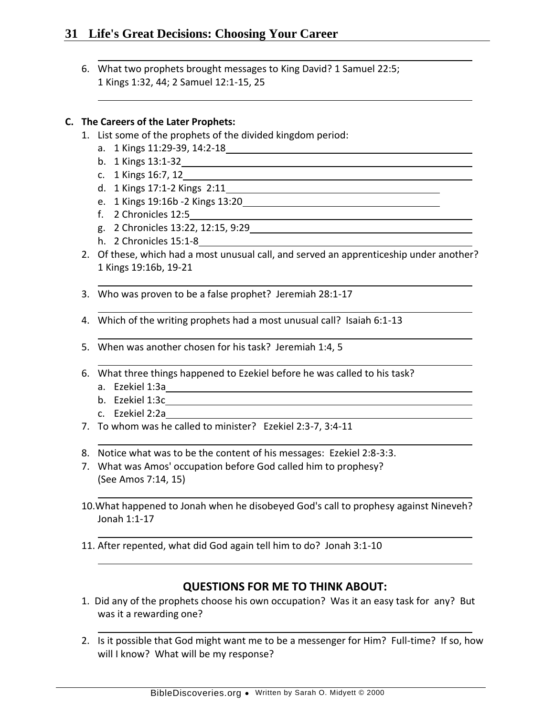6. What two prophets brought messages to King David? 1 Samuel 22:5; 1 Kings 1:32, 44; 2 Samuel 12:1-15, 25

### **C. The Careers of the Later Prophets:**

- 1. List some of the prophets of the divided kingdom period:
	- a. 1 Kings 11:29-39, 14:2-18
	- b. 1 Kings 13:1-32
	- c. 1 Kings 16:7, 12
	- d. 1 Kings 17:1-2 Kings 2:11
	- e. 1 Kings 19:16b -2 Kings 13:20
	- f. 2 Chronicles 12:5
	- g. 2 Chronicles 13:22, 12:15, 9:29
	- h. 2 Chronicles 15:1-8
- 2. Of these, which had a most unusual call, and served an apprenticeship under another? 1 Kings 19:16b, 19-21
- 3. Who was proven to be a false prophet? Jeremiah 28:1-17
- 4. Which of the writing prophets had a most unusual call? Isaiah 6:1-13
- 5. When was another chosen for his task? Jeremiah 1:4, 5
- 6. What three things happened to Ezekiel before he was called to his task?
	- a. Ezekiel 1:3a
	- b. Ezekiel 1:3c
	- c. Ezekiel 2:2a
- 7. To whom was he called to minister? Ezekiel 2:3-7, 3:4-11
- 8. Notice what was to be the content of his messages: Ezekiel 2:8-3:3.
- 7. What was Amos' occupation before God called him to prophesy? (See Amos 7:14, 15)
- 10.What happened to Jonah when he disobeyed God's call to prophesy against Nineveh? Jonah 1:1-17
- 11. After repented, what did God again tell him to do? Jonah 3:1-10

- 1. Did any of the prophets choose his own occupation? Was it an easy task for any? But was it a rewarding one?
- 2. Is it possible that God might want me to be a messenger for Him? Full-time? If so, how will I know? What will be my response?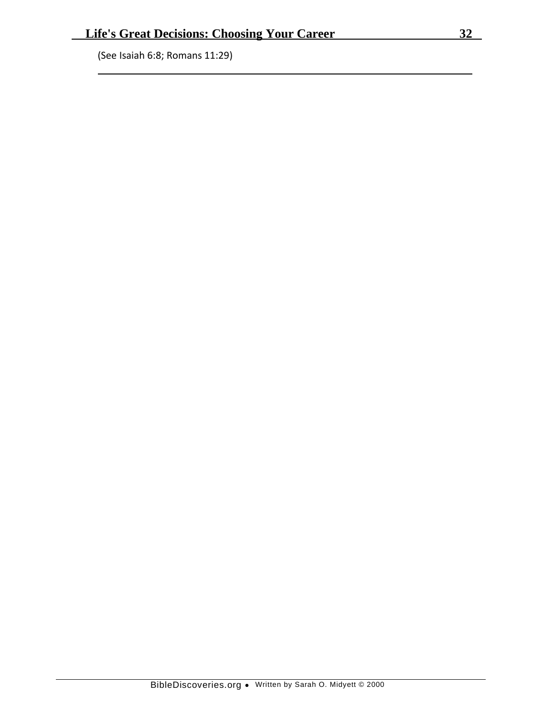(See Isaiah 6:8; Romans 11:29)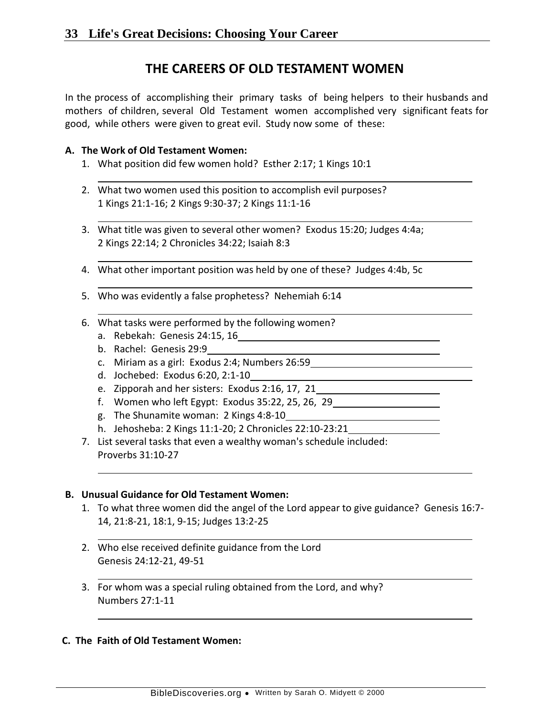# **THE CAREERS OF OLD TESTAMENT WOMEN**

In the process of accomplishing their primary tasks of being helpers to their husbands and mothers of children, several Old Testament women accomplished very significant feats for good, while others were given to great evil. Study now some of these:

### **A. The Work of Old Testament Women:**

- 1. What position did few women hold? Esther 2:17; 1 Kings 10:1
- 2. What two women used this position to accomplish evil purposes? 1 Kings 21:1-16; 2 Kings 9:30-37; 2 Kings 11:1-16
- 3. What title was given to several other women? Exodus 15:20; Judges 4:4a; 2 Kings 22:14; 2 Chronicles 34:22; Isaiah 8:3
- 4. What other important position was held by one of these? Judges 4:4b, 5c
- 5. Who was evidently a false prophetess? Nehemiah 6:14
- 6. What tasks were performed by the following women?
	- a. Rebekah: Genesis 24:15, 16
	- b. Rachel: Genesis 29:9
	- c. Miriam as a girl: Exodus 2:4; Numbers 26:59
	- d. Jochebed: Exodus 6:20, 2:1-10
	- e. Zipporah and her sisters: Exodus 2:16, 17, 21
	- f. Women who left Egypt: Exodus 35:22, 25, 26, 29
	- g. The Shunamite woman: 2 Kings 4:8-10
	- h. Jehosheba: 2 Kings 11:1-20; 2 Chronicles 22:10-23:21
- 7. List several tasks that even a wealthy woman's schedule included: Proverbs 31:10-27

### **B. Unusual Guidance for Old Testament Women:**

- 1. To what three women did the angel of the Lord appear to give guidance? Genesis 16:7- 14, 21:8-21, 18:1, 9-15; Judges 13:2-25
- 2. Who else received definite guidance from the Lord Genesis 24:12-21, 49-51
- 3. For whom was a special ruling obtained from the Lord, and why? Numbers 27:1-11

### **C. The Faith of Old Testament Women:**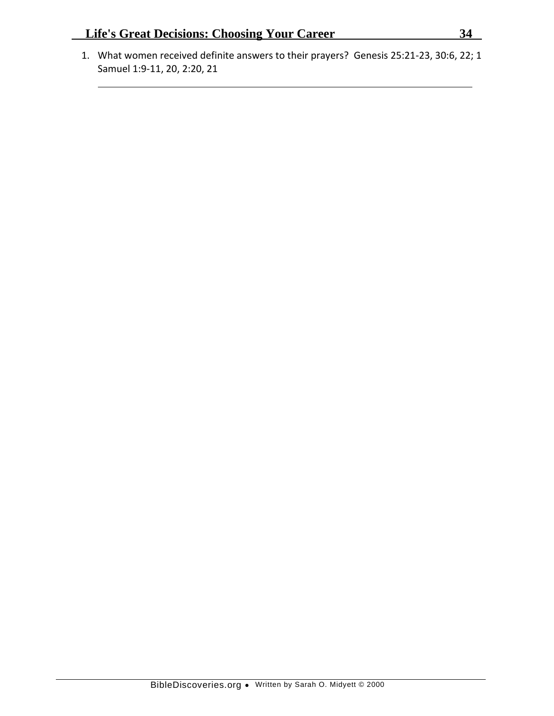1. What women received definite answers to their prayers? Genesis 25:21-23, 30:6, 22; 1 Samuel 1:9-11, 20, 2:20, 21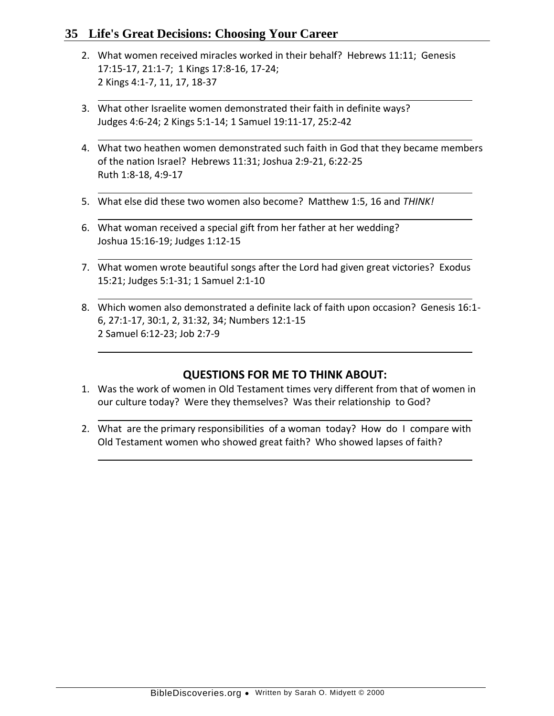- 2. What women received miracles worked in their behalf? Hebrews 11:11; Genesis 17:15-17, 21:1-7; 1 Kings 17:8-16, 17-24; 2 Kings 4:1-7, 11, 17, 18-37
- 3. What other Israelite women demonstrated their faith in definite ways? Judges 4:6-24; 2 Kings 5:1-14; 1 Samuel 19:11-17, 25:2-42
- 4. What two heathen women demonstrated such faith in God that they became members of the nation Israel? Hebrews 11:31; Joshua 2:9-21, 6:22-25 Ruth 1:8-18, 4:9-17
- 5. What else did these two women also become? Matthew 1:5, 16 and *THINK!*
- 6. What woman received a special gift from her father at her wedding? Joshua 15:16-19; Judges 1:12-15
- 7. What women wrote beautiful songs after the Lord had given great victories? Exodus 15:21; Judges 5:1-31; 1 Samuel 2:1-10
- 8. Which women also demonstrated a definite lack of faith upon occasion? Genesis 16:1- 6, 27:1-17, 30:1, 2, 31:32, 34; Numbers 12:1-15 2 Samuel 6:12-23; Job 2:7-9

- 1. Was the work of women in Old Testament times very different from that of women in our culture today? Were they themselves? Was their relationship to God?
- 2. What are the primary responsibilities of a woman today? How do I compare with Old Testament women who showed great faith? Who showed lapses of faith?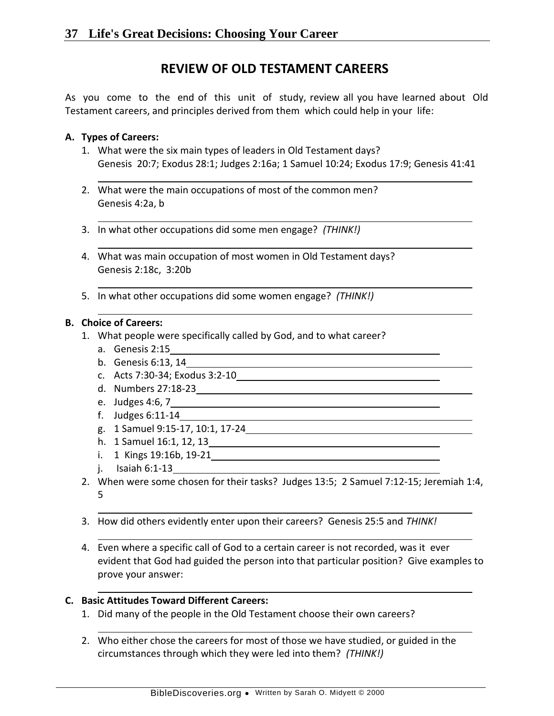# **REVIEW OF OLD TESTAMENT CAREERS**

As you come to the end of this unit of study, review all you have learned about Old Testament careers, and principles derived from them which could help in your life:

### **A. Types of Careers:**

- 1. What were the six main types of leaders in Old Testament days? Genesis 20:7; Exodus 28:1; Judges 2:16a; 1 Samuel 10:24; Exodus 17:9; Genesis 41:41
- 2. What were the main occupations of most of the common men? Genesis 4:2a, b
- 3. In what other occupations did some men engage? *(THINK!)*
- 4. What was main occupation of most women in Old Testament days? Genesis 2:18c, 3:20b
- 5. In what other occupations did some women engage? *(THINK!)*

#### **B. Choice of Careers:**

- 1. What people were specifically called by God, and to what career?
	- a. Genesis 2:15
	- b. Genesis 6:13, 14
	- c. Acts 7:30-34; Exodus 3:2-10
	- d. Numbers 27:18-23
	- e. Judges 4:6, 7
	- f. Judges 6:11-14
	- g. 1 Samuel 9:15-17, 10:1, 17-24
	- h. 1 Samuel 16:1, 12, 13
	- i. 1 Kings 19:16b, 19-21
	- j. Isaiah 6:1-13
- 2. When were some chosen for their tasks? Judges 13:5; 2 Samuel 7:12-15; Jeremiah 1:4, 5
- 3. How did others evidently enter upon their careers? Genesis 25:5 and *THINK!*
- 4. Even where a specific call of God to a certain career is not recorded, was it ever evident that God had guided the person into that particular position? Give examples to prove your answer:

#### **C. Basic Attitudes Toward Different Careers:**

- 1. Did many of the people in the Old Testament choose their own careers?
- 2. Who either chose the careers for most of those we have studied, or guided in the circumstances through which they were led into them? *(THINK!)*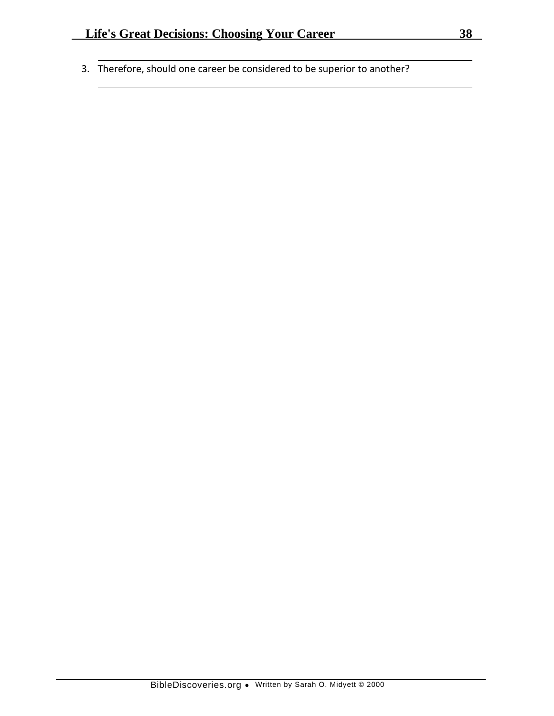3. Therefore, should one career be considered to be superior to another?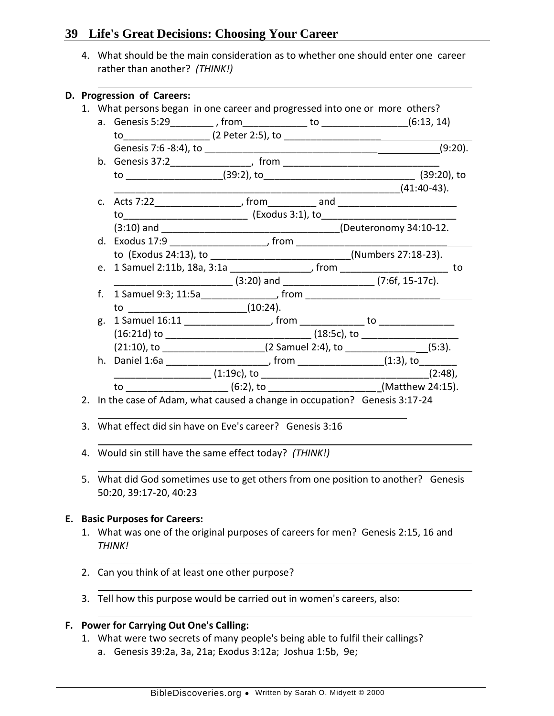4. What should be the main consideration as to whether one should enter one career rather than another? *(THINK!)*

|                                                                             |                                                              |                                                                                          | D. Progression of Careers:<br>1. What persons began in one career and progressed into one or more others? |  |  |  |             |  |  |
|-----------------------------------------------------------------------------|--------------------------------------------------------------|------------------------------------------------------------------------------------------|-----------------------------------------------------------------------------------------------------------|--|--|--|-------------|--|--|
|                                                                             |                                                              |                                                                                          |                                                                                                           |  |  |  |             |  |  |
|                                                                             |                                                              |                                                                                          |                                                                                                           |  |  |  |             |  |  |
|                                                                             |                                                              |                                                                                          |                                                                                                           |  |  |  |             |  |  |
|                                                                             |                                                              |                                                                                          |                                                                                                           |  |  |  |             |  |  |
|                                                                             |                                                              |                                                                                          |                                                                                                           |  |  |  |             |  |  |
|                                                                             |                                                              |                                                                                          |                                                                                                           |  |  |  |             |  |  |
|                                                                             |                                                              |                                                                                          |                                                                                                           |  |  |  | (41:40-43). |  |  |
|                                                                             |                                                              |                                                                                          |                                                                                                           |  |  |  |             |  |  |
|                                                                             |                                                              |                                                                                          |                                                                                                           |  |  |  |             |  |  |
|                                                                             |                                                              |                                                                                          |                                                                                                           |  |  |  |             |  |  |
|                                                                             |                                                              |                                                                                          |                                                                                                           |  |  |  |             |  |  |
|                                                                             |                                                              |                                                                                          | to (Exodus 24:13), to _____________________________(Numbers 27:18-23).                                    |  |  |  |             |  |  |
|                                                                             |                                                              |                                                                                          | e. 1 Samuel 2:11b, 18a, 3:1a _________________, from ________________________ to                          |  |  |  |             |  |  |
|                                                                             |                                                              |                                                                                          |                                                                                                           |  |  |  |             |  |  |
|                                                                             |                                                              |                                                                                          |                                                                                                           |  |  |  |             |  |  |
|                                                                             |                                                              |                                                                                          | to __________________________________(10:24).                                                             |  |  |  |             |  |  |
|                                                                             |                                                              |                                                                                          | g. 1 Samuel 16:11 ______________________, from _______________ to ______________                          |  |  |  |             |  |  |
|                                                                             |                                                              |                                                                                          |                                                                                                           |  |  |  |             |  |  |
|                                                                             |                                                              |                                                                                          | $(21:10)$ , to ______________________(2 Samuel 2:4), to _________________(5:3).                           |  |  |  |             |  |  |
|                                                                             |                                                              |                                                                                          |                                                                                                           |  |  |  |             |  |  |
|                                                                             |                                                              |                                                                                          | $(1:19c)$ , to $(2:48)$ ,                                                                                 |  |  |  |             |  |  |
|                                                                             |                                                              |                                                                                          | to ________________________(6:2), to __________________________(Matthew 24:15).                           |  |  |  |             |  |  |
| 2. In the case of Adam, what caused a change in occupation? Genesis 3:17-24 |                                                              |                                                                                          |                                                                                                           |  |  |  |             |  |  |
|                                                                             | What effect did sin have on Eve's career? Genesis 3:16<br>3. |                                                                                          |                                                                                                           |  |  |  |             |  |  |
|                                                                             |                                                              |                                                                                          |                                                                                                           |  |  |  |             |  |  |
|                                                                             | 4. Would sin still have the same effect today? (THINK!)      |                                                                                          |                                                                                                           |  |  |  |             |  |  |
|                                                                             |                                                              | 5. What did God sometimes use to get others from one position to another? Genesis        |                                                                                                           |  |  |  |             |  |  |
|                                                                             |                                                              | 50:20, 39:17-20, 40:23                                                                   |                                                                                                           |  |  |  |             |  |  |
| Е.                                                                          |                                                              |                                                                                          | <b>Basic Purposes for Careers:</b>                                                                        |  |  |  |             |  |  |
|                                                                             | 1.                                                           | What was one of the original purposes of careers for men? Genesis 2:15, 16 and<br>THINK! |                                                                                                           |  |  |  |             |  |  |
|                                                                             | 2.                                                           | Can you think of at least one other purpose?                                             |                                                                                                           |  |  |  |             |  |  |
|                                                                             | 3.                                                           | Tell how this purpose would be carried out in women's careers, also:                     |                                                                                                           |  |  |  |             |  |  |
| F.                                                                          |                                                              |                                                                                          | <b>Power for Carrying Out One's Calling:</b>                                                              |  |  |  |             |  |  |

1. What were two secrets of many people's being able to fulfil their callings? a. Genesis 39:2a, 3a, 21a; Exodus 3:12a; Joshua 1:5b, 9e;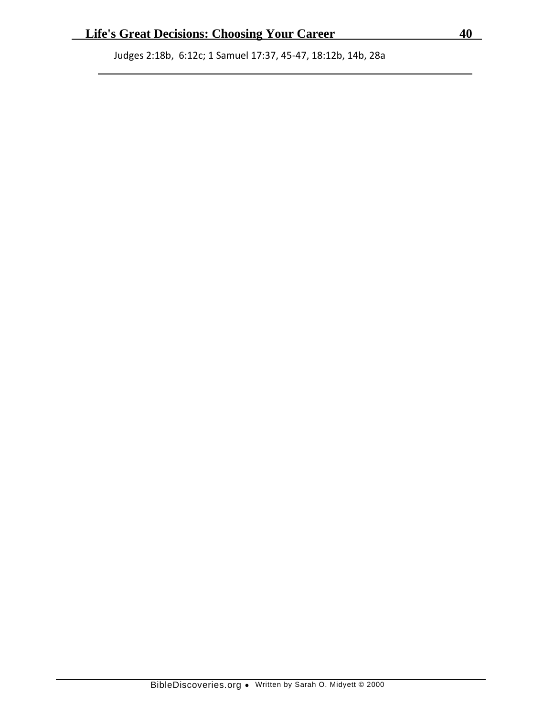Judges 2:18b, 6:12c; 1 Samuel 17:37, 45-47, 18:12b, 14b, 28a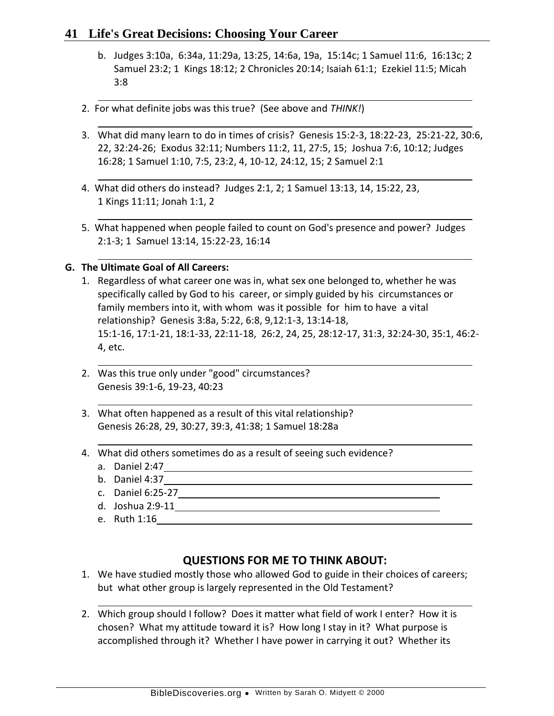- b. Judges 3:10a, 6:34a, 11:29a, 13:25, 14:6a, 19a, 15:14c; 1 Samuel 11:6, 16:13c; 2 Samuel 23:2; 1 Kings 18:12; 2 Chronicles 20:14; Isaiah 61:1; Ezekiel 11:5; Micah 3:8
- 2. For what definite jobs was this true? (See above and *THINK!*)
- 3. What did many learn to do in times of crisis? Genesis 15:2-3, 18:22-23, 25:21-22, 30:6, 22, 32:24-26; Exodus 32:11; Numbers 11:2, 11, 27:5, 15; Joshua 7:6, 10:12; Judges 16:28; 1 Samuel 1:10, 7:5, 23:2, 4, 10-12, 24:12, 15; 2 Samuel 2:1
- 4. What did others do instead? Judges 2:1, 2; 1 Samuel 13:13, 14, 15:22, 23, 1 Kings 11:11; Jonah 1:1, 2
- 5. What happened when people failed to count on God's presence and power? Judges 2:1-3; 1 Samuel 13:14, 15:22-23, 16:14

## **G. The Ultimate Goal of All Careers:**

- 1. Regardless of what career one was in, what sex one belonged to, whether he was specifically called by God to his career, or simply guided by his circumstances or family members into it, with whom was it possible for him to have a vital relationship? Genesis 3:8a, 5:22, 6:8, 9,12:1-3, 13:14-18, 15:1-16, 17:1-21, 18:1-33, 22:11-18, 26:2, 24, 25, 28:12-17, 31:3, 32:24-30, 35:1, 46:2- 4, etc.
- 2. Was this true only under "good" circumstances? Genesis 39:1-6, 19-23, 40:23
- 3. What often happened as a result of this vital relationship? Genesis 26:28, 29, 30:27, 39:3, 41:38; 1 Samuel 18:28a
- 4. What did others sometimes do as a result of seeing such evidence?
	- a. Daniel 2:47
	- b. Daniel 4:37
	- c. Daniel 6:25-27
	- d. Joshua 2:9-11
	- e. Ruth 1:16

- 1. We have studied mostly those who allowed God to guide in their choices of careers; but what other group is largely represented in the Old Testament?
- 2. Which group should I follow? Does it matter what field of work I enter? How it is chosen? What my attitude toward it is? How long I stay in it? What purpose is accomplished through it? Whether I have power in carrying it out? Whether its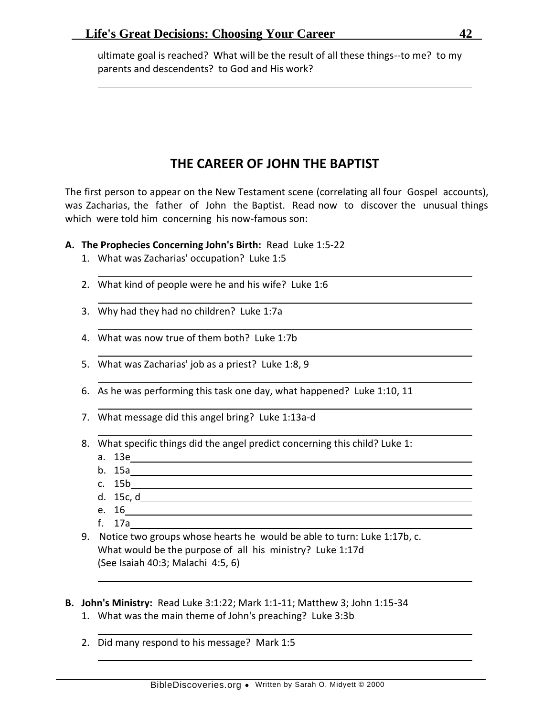ultimate goal is reached? What will be the result of all these things--to me? to my parents and descendents? to God and His work?

# **THE CAREER OF JOHN THE BAPTIST**

The first person to appear on the New Testament scene (correlating all four Gospel accounts), was Zacharias, the father of John the Baptist. Read now to discover the unusual things which were told him concerning his now-famous son:

- **A. The Prophecies Concerning John's Birth:** Read Luke 1:5-22
	- 1. What was Zacharias' occupation? Luke 1:5
	- 2. What kind of people were he and his wife? Luke 1:6
	- 3. Why had they had no children? Luke 1:7a
	- 4. What was now true of them both? Luke 1:7b
	- 5. What was Zacharias' job as a priest? Luke 1:8, 9
	- 6. As he was performing this task one day, what happened? Luke 1:10, 11
	- 7. What message did this angel bring? Luke 1:13a-d
	- 8. What specific things did the angel predict concerning this child? Luke 1:
		- a. 13e
		- b. 15a
		- c. 15b
		- d. 15c, d
		- e. 16
		- f. 17a
	- 9. Notice two groups whose hearts he would be able to turn: Luke 1:17b, c. What would be the purpose of all his ministry? Luke 1:17d (See Isaiah 40:3; Malachi 4:5, 6)
- **B. John's Ministry:** Read Luke 3:1:22; Mark 1:1-11; Matthew 3; John 1:15-34
	- 1. What was the main theme of John's preaching? Luke 3:3b
	- 2. Did many respond to his message? Mark 1:5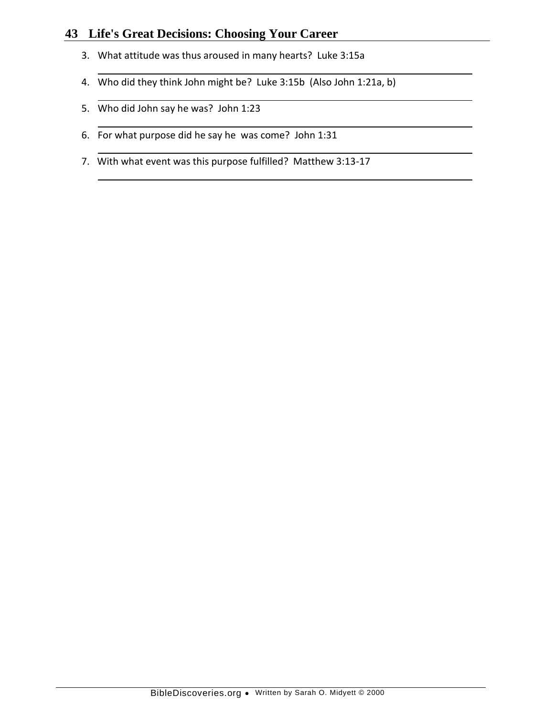- 3. What attitude was thus aroused in many hearts? Luke 3:15a
- 4. Who did they think John might be? Luke 3:15b (Also John 1:21a, b)
- 5. Who did John say he was? John 1:23
- 6. For what purpose did he say he was come? John 1:31
- 7. With what event was this purpose fulfilled? Matthew 3:13-17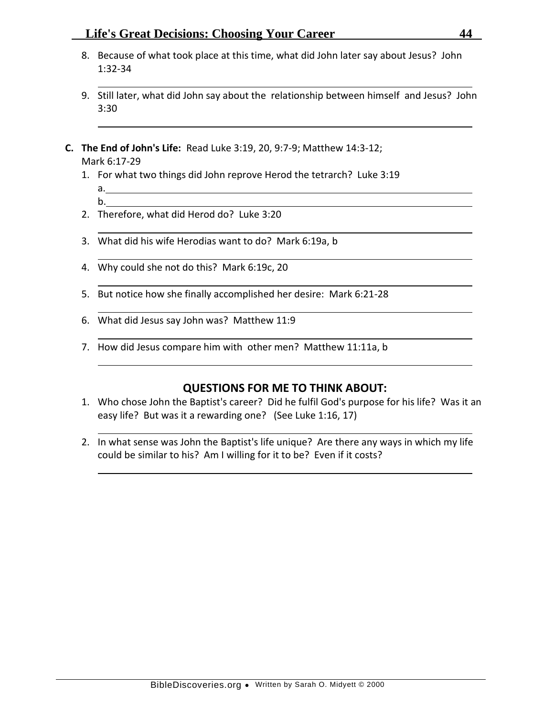- 8. Because of what took place at this time, what did John later say about Jesus? John 1:32-34
- 9. Still later, what did John say about the relationship between himself and Jesus? John 3:30
- **C. The End of John's Life:** Read Luke 3:19, 20, 9:7-9; Matthew 14:3-12; Mark 6:17-29
	- 1. For what two things did John reprove Herod the tetrarch? Luke 3:19 a.
		- b.
	- 2. Therefore, what did Herod do? Luke 3:20
	- 3. What did his wife Herodias want to do? Mark 6:19a, b
	- 4. Why could she not do this? Mark 6:19c, 20
	- 5. But notice how she finally accomplished her desire: Mark 6:21-28
	- 6. What did Jesus say John was? Matthew 11:9
	- 7. How did Jesus compare him with other men? Matthew 11:11a, b

- 1. Who chose John the Baptist's career? Did he fulfil God's purpose for his life? Was it an easy life? But was it a rewarding one? (See Luke 1:16, 17)
- 2. In what sense was John the Baptist's life unique? Are there any ways in which my life could be similar to his? Am I willing for it to be? Even if it costs?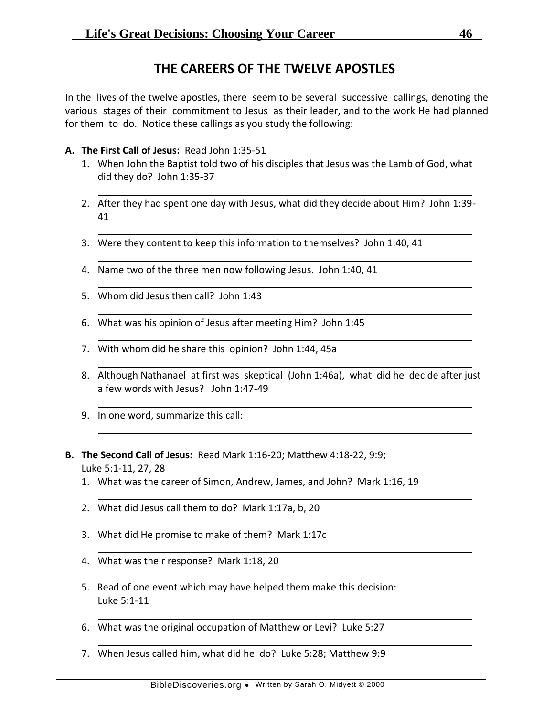# **THE CAREERS OF THE TWELVE APOSTLES**

In the lives of the twelve apostles, there seem to be several successive callings, denoting the various stages of their commitment to Jesus as their leader, and to the work He had planned for them to do. Notice these callings as you study the following:

- **A. The First Call of Jesus:** Read John 1:35-51
	- 1. When John the Baptist told two of his disciples that Jesus was the Lamb of God, what did they do? John 1:35-37
	- 2. After they had spent one day with Jesus, what did they decide about Him? John 1:39- 41
	- 3. Were they content to keep this information to themselves? John 1:40, 41
	- 4. Name two of the three men now following Jesus. John 1:40, 41
	- 5. Whom did Jesus then call? John 1:43
	- 6. What was his opinion of Jesus after meeting Him? John 1:45
	- 7. With whom did he share this opinion? John 1:44, 45a
	- 8. Although Nathanael at first was skeptical (John 1:46a), what did he decide after just a few words with Jesus? John 1:47-49
	- 9. In one word, summarize this call:
- **B. The Second Call of Jesus:** Read Mark 1:16-20; Matthew 4:18-22, 9:9; Luke 5:1-11, 27, 28
	- 1. What was the career of Simon, Andrew, James, and John? Mark 1:16, 19
	- 2. What did Jesus call them to do? Mark 1:17a, b, 20
	- 3. What did He promise to make of them? Mark 1:17c
	- 4. What was their response? Mark 1:18, 20
	- 5. Read of one event which may have helped them make this decision: Luke 5:1-11
	- 6. What was the original occupation of Matthew or Levi? Luke 5:27
	- 7. When Jesus called him, what did he do? Luke 5:28; Matthew 9:9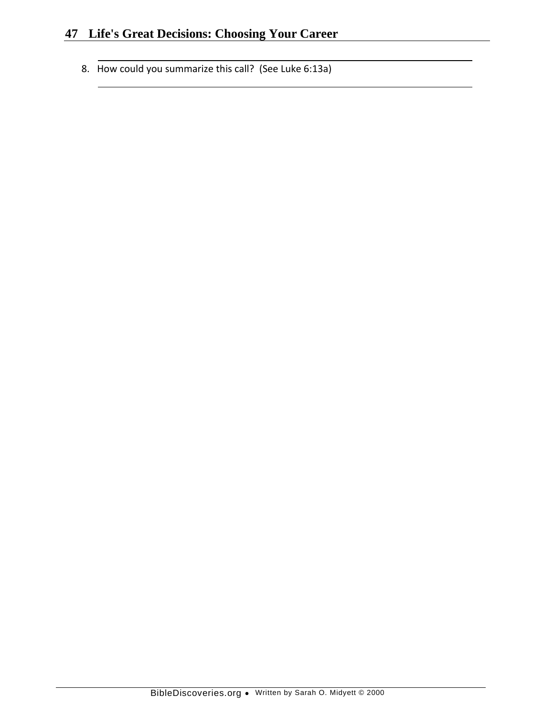8. How could you summarize this call? (See Luke 6:13a)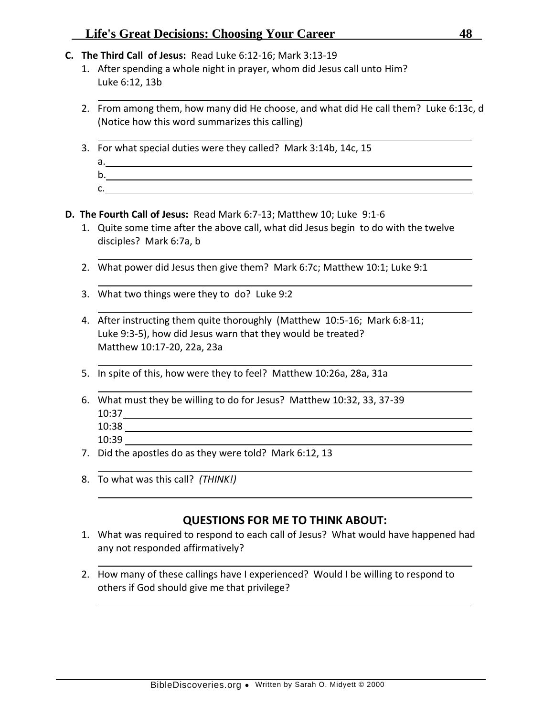- **C. The Third Call of Jesus:** Read Luke 6:12-16; Mark 3:13-19
	- 1. After spending a whole night in prayer, whom did Jesus call unto Him? Luke 6:12, 13b
	- 2. From among them, how many did He choose, and what did He call them? Luke 6:13c, d (Notice how this word summarizes this calling)
	- 3. For what special duties were they called? Mark 3:14b, 14c, 15
		- a. b.
		- c.
- **D. The Fourth Call of Jesus:** Read Mark 6:7-13; Matthew 10; Luke 9:1-6
	- 1. Quite some time after the above call, what did Jesus begin to do with the twelve disciples? Mark 6:7a, b
	- 2. What power did Jesus then give them? Mark 6:7c; Matthew 10:1; Luke 9:1
	- 3. What two things were they to do? Luke 9:2
	- 4. After instructing them quite thoroughly (Matthew 10:5-16; Mark 6:8-11; Luke 9:3-5), how did Jesus warn that they would be treated? Matthew 10:17-20, 22a, 23a
	- 5. In spite of this, how were they to feel? Matthew 10:26a, 28a, 31a
	- 6. What must they be willing to do for Jesus? Matthew 10:32, 33, 37-39 10:37 10:38
		- 10:39
	- 7. Did the apostles do as they were told? Mark 6:12, 13
	- 8. To what was this call? *(THINK!)*

- 1. What was required to respond to each call of Jesus? What would have happened had any not responded affirmatively?
- 2. How many of these callings have I experienced? Would I be willing to respond to others if God should give me that privilege?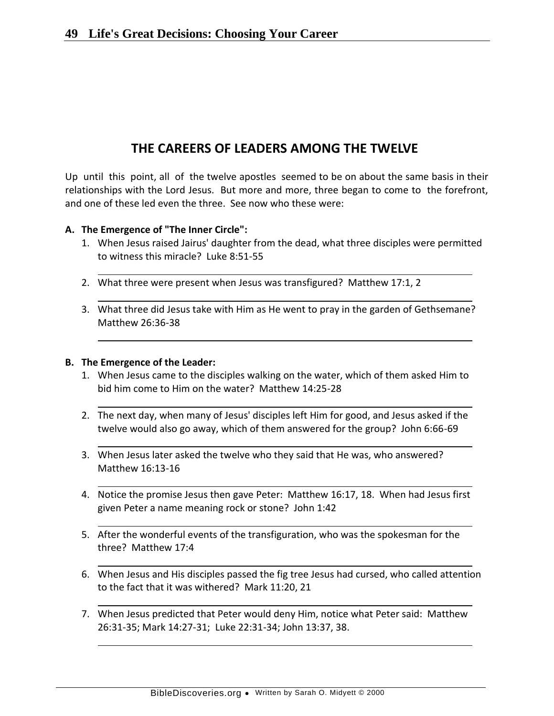# **THE CAREERS OF LEADERS AMONG THE TWELVE**

Up until this point, all of the twelve apostles seemed to be on about the same basis in their relationships with the Lord Jesus. But more and more, three began to come to the forefront, and one of these led even the three. See now who these were:

### **A. The Emergence of "The Inner Circle":**

- 1. When Jesus raised Jairus' daughter from the dead, what three disciples were permitted to witness this miracle? Luke 8:51-55
- 2. What three were present when Jesus was transfigured? Matthew 17:1, 2
- 3. What three did Jesus take with Him as He went to pray in the garden of Gethsemane? Matthew 26:36-38

#### **B. The Emergence of the Leader:**

- 1. When Jesus came to the disciples walking on the water, which of them asked Him to bid him come to Him on the water? Matthew 14:25-28
- 2. The next day, when many of Jesus' disciples left Him for good, and Jesus asked if the twelve would also go away, which of them answered for the group? John 6:66-69
- 3. When Jesus later asked the twelve who they said that He was, who answered? Matthew 16:13-16
- 4. Notice the promise Jesus then gave Peter: Matthew 16:17, 18. When had Jesus first given Peter a name meaning rock or stone? John 1:42
- 5. After the wonderful events of the transfiguration, who was the spokesman for the three? Matthew 17:4
- 6. When Jesus and His disciples passed the fig tree Jesus had cursed, who called attention to the fact that it was withered? Mark 11:20, 21
- 7. When Jesus predicted that Peter would deny Him, notice what Peter said: Matthew 26:31-35; Mark 14:27-31; Luke 22:31-34; John 13:37, 38.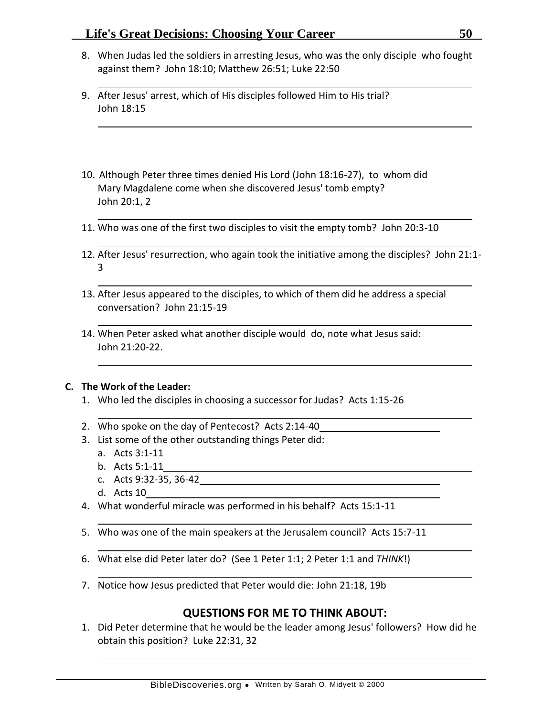- 8. When Judas led the soldiers in arresting Jesus, who was the only disciple who fought against them? John 18:10; Matthew 26:51; Luke 22:50
- 9. After Jesus' arrest, which of His disciples followed Him to His trial? John 18:15
- 10. Although Peter three times denied His Lord (John 18:16-27), to whom did Mary Magdalene come when she discovered Jesus' tomb empty? John 20:1, 2
- 11. Who was one of the first two disciples to visit the empty tomb? John 20:3-10
- 12. After Jesus' resurrection, who again took the initiative among the disciples? John 21:1- 3
- 13. After Jesus appeared to the disciples, to which of them did he address a special conversation? John 21:15-19
- 14. When Peter asked what another disciple would do, note what Jesus said: John 21:20-22.

### **C. The Work of the Leader:**

- 1. Who led the disciples in choosing a successor for Judas? Acts 1:15-26
- 2. Who spoke on the day of Pentecost? Acts 2:14-40
- 3. List some of the other outstanding things Peter did:
	- a. Acts 3:1-11
	- b. Acts 5:1-11
	- c. Acts 9:32-35, 36-42
	- d. Acts 10
- 4. What wonderful miracle was performed in his behalf? Acts 15:1-11
- 5. Who was one of the main speakers at the Jerusalem council? Acts 15:7-11
- 6. What else did Peter later do? (See 1 Peter 1:1; 2 Peter 1:1 and *THINK*!)
- 7. Notice how Jesus predicted that Peter would die: John 21:18, 19b

## **QUESTIONS FOR ME TO THINK ABOUT:**

1. Did Peter determine that he would be the leader among Jesus' followers? How did he obtain this position? Luke 22:31, 32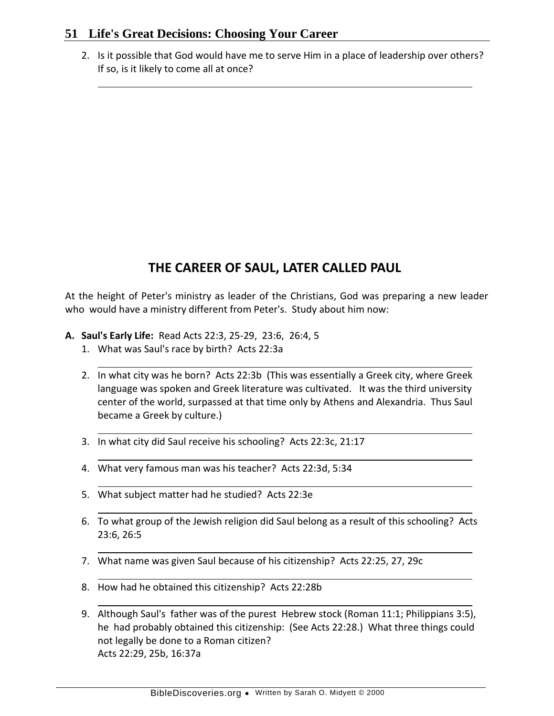2. Is it possible that God would have me to serve Him in a place of leadership over others? If so, is it likely to come all at once?

# **THE CAREER OF SAUL, LATER CALLED PAUL**

At the height of Peter's ministry as leader of the Christians, God was preparing a new leader who would have a ministry different from Peter's. Study about him now:

- **A. Saul's Early Life:** Read Acts 22:3, 25-29, 23:6, 26:4, 5
	- 1. What was Saul's race by birth? Acts 22:3a
	- 2. In what city was he born? Acts 22:3b (This was essentially a Greek city, where Greek language was spoken and Greek literature was cultivated. It was the third university center of the world, surpassed at that time only by Athens and Alexandria. Thus Saul became a Greek by culture.)
	- 3. In what city did Saul receive his schooling? Acts 22:3c, 21:17
	- 4. What very famous man was his teacher? Acts 22:3d, 5:34
	- 5. What subject matter had he studied? Acts 22:3e
	- 6. To what group of the Jewish religion did Saul belong as a result of this schooling? Acts 23:6, 26:5
	- 7. What name was given Saul because of his citizenship? Acts 22:25, 27, 29c
	- 8. How had he obtained this citizenship? Acts 22:28b
	- 9. Although Saul's father was of the purest Hebrew stock (Roman 11:1; Philippians 3:5), he had probably obtained this citizenship: (See Acts 22:28.) What three things could not legally be done to a Roman citizen? Acts 22:29, 25b, 16:37a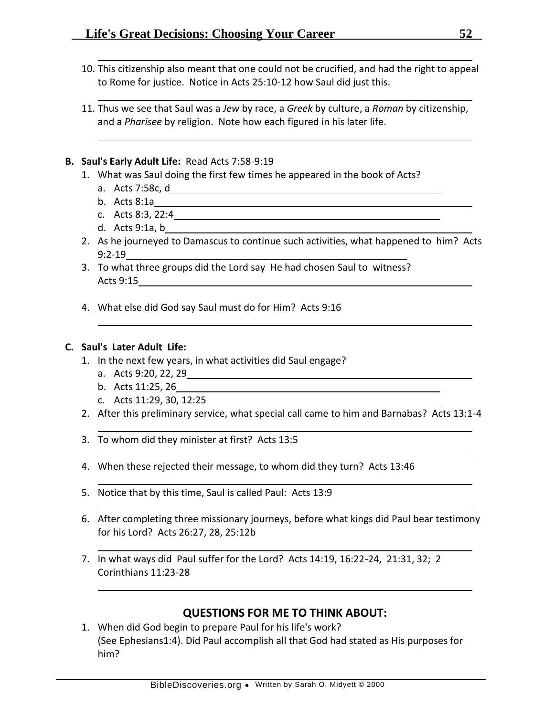- 10. This citizenship also meant that one could not be crucified, and had the right to appeal to Rome for justice. Notice in Acts 25:10-12 how Saul did just this.
- 11. Thus we see that Saul was a *Jew* by race, a *Greek* by culture, a *Roman* by citizenship, and a *Pharisee* by religion. Note how each figured in his later life.

### **B. Saul's Early Adult Life:** Read Acts 7:58-9:19

- 1. What was Saul doing the first few times he appeared in the book of Acts?
	- a. Acts 7:58c, d
	- b. Acts 8:1a
	- c. Acts 8:3, 22:4
	- d. Acts 9:1a, b
- 2. As he journeyed to Damascus to continue such activities, what happened to him? Acts 9:2-19
- 3. To what three groups did the Lord say He had chosen Saul to witness? Acts 9:15
- 4. What else did God say Saul must do for Him? Acts 9:16

### **C. Saul's Later Adult Life:**

- 1. In the next few years, in what activities did Saul engage?
	- a. Acts 9:20, 22, 29
	- b. Acts 11:25, 26
	- c. Acts 11:29, 30, 12:25
- 2. After this preliminary service, what special call came to him and Barnabas? Acts 13:1-4
- 3. To whom did they minister at first? Acts 13:5
- 4. When these rejected their message, to whom did they turn? Acts 13:46
- 5. Notice that by this time, Saul is called Paul: Acts 13:9
- 6. After completing three missionary journeys, before what kings did Paul bear testimony for his Lord? Acts 26:27, 28, 25:12b
- 7. In what ways did Paul suffer for the Lord? Acts 14:19, 16:22-24, 21:31, 32; 2 Corinthians 11:23-28

## **QUESTIONS FOR ME TO THINK ABOUT:**

1. When did God begin to prepare Paul for his life's work? (See Ephesians1:4). Did Paul accomplish all that God had stated as His purposes for him?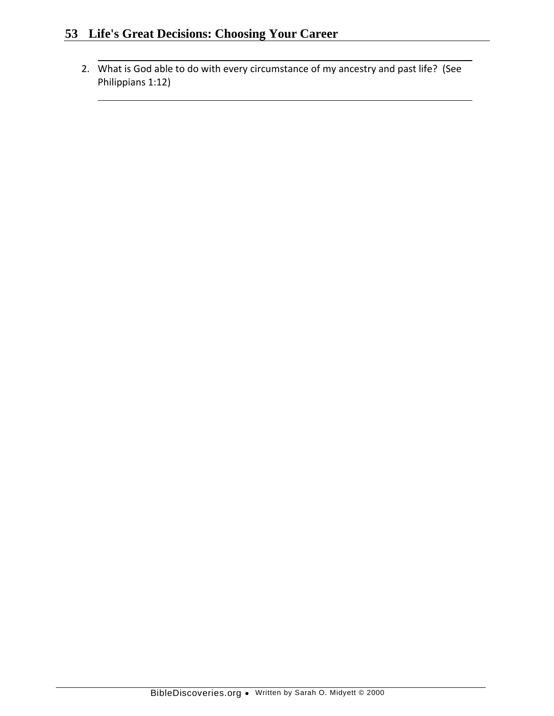2. What is God able to do with every circumstance of my ancestry and past life? (See Philippians 1:12)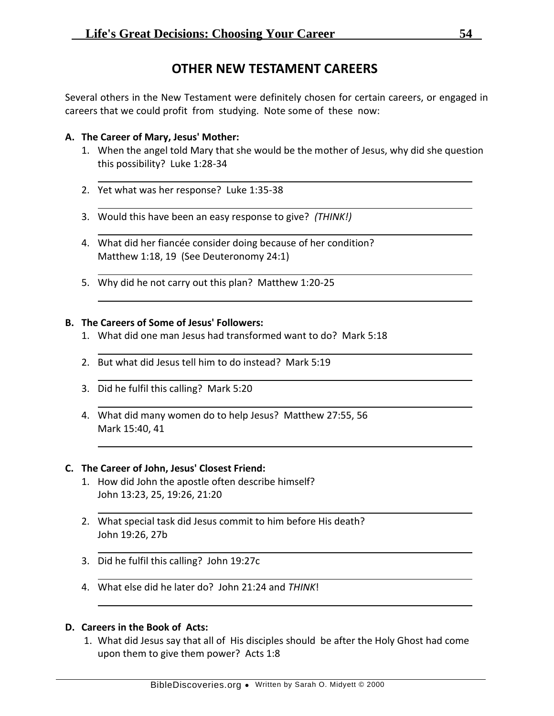# **OTHER NEW TESTAMENT CAREERS**

Several others in the New Testament were definitely chosen for certain careers, or engaged in careers that we could profit from studying. Note some of these now:

### **A. The Career of Mary, Jesus' Mother:**

- 1. When the angel told Mary that she would be the mother of Jesus, why did she question this possibility? Luke 1:28-34
- 2. Yet what was her response? Luke 1:35-38
- 3. Would this have been an easy response to give? *(THINK!)*
- 4. What did her fiancée consider doing because of her condition? Matthew 1:18, 19 (See Deuteronomy 24:1)
- 5. Why did he not carry out this plan? Matthew 1:20-25

### **B. The Careers of Some of Jesus' Followers:**

- 1. What did one man Jesus had transformed want to do? Mark 5:18
- 2. But what did Jesus tell him to do instead? Mark 5:19
- 3. Did he fulfil this calling? Mark 5:20
- 4. What did many women do to help Jesus? Matthew 27:55, 56 Mark 15:40, 41

### **C. The Career of John, Jesus' Closest Friend:**

- 1. How did John the apostle often describe himself? John 13:23, 25, 19:26, 21:20
- 2. What special task did Jesus commit to him before His death? John 19:26, 27b
- 3. Did he fulfil this calling? John 19:27c
- 4. What else did he later do? John 21:24 and *THINK*!

### **D. Careers in the Book of Acts:**

1. What did Jesus say that all of His disciples should be after the Holy Ghost had come upon them to give them power? Acts 1:8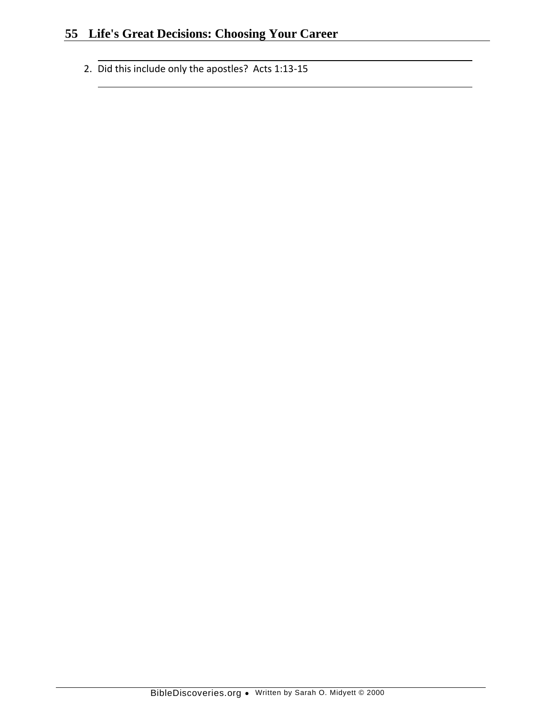2. Did this include only the apostles? Acts 1:13-15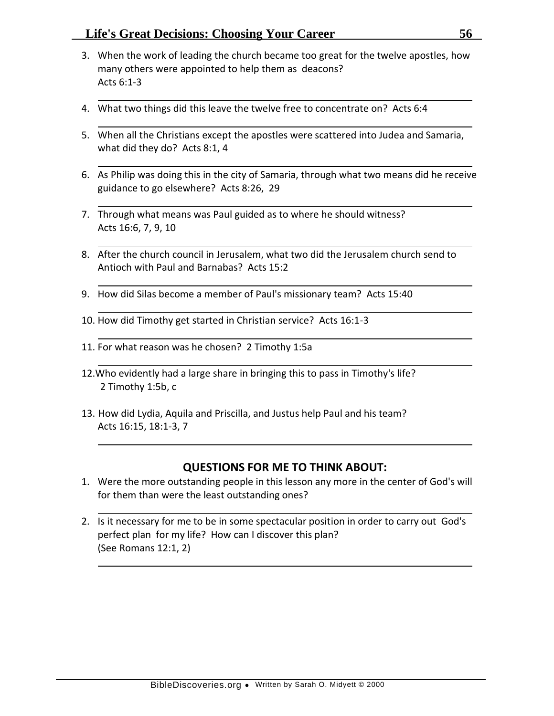- 3. When the work of leading the church became too great for the twelve apostles, how many others were appointed to help them as deacons? Acts 6:1-3
- 4. What two things did this leave the twelve free to concentrate on? Acts 6:4
- 5. When all the Christians except the apostles were scattered into Judea and Samaria, what did they do? Acts 8:1, 4
- 6. As Philip was doing this in the city of Samaria, through what two means did he receive guidance to go elsewhere? Acts 8:26, 29
- 7. Through what means was Paul guided as to where he should witness? Acts 16:6, 7, 9, 10
- 8. After the church council in Jerusalem, what two did the Jerusalem church send to Antioch with Paul and Barnabas? Acts 15:2
- 9. How did Silas become a member of Paul's missionary team? Acts 15:40
- 10. How did Timothy get started in Christian service? Acts 16:1-3
- 11. For what reason was he chosen? 2 Timothy 1:5a
- 12.Who evidently had a large share in bringing this to pass in Timothy's life? 2 Timothy 1:5b, c
- 13. How did Lydia, Aquila and Priscilla, and Justus help Paul and his team? Acts 16:15, 18:1-3, 7

- 1. Were the more outstanding people in this lesson any more in the center of God's will for them than were the least outstanding ones?
- 2. Is it necessary for me to be in some spectacular position in order to carry out God's perfect plan for my life? How can I discover this plan? (See Romans 12:1, 2)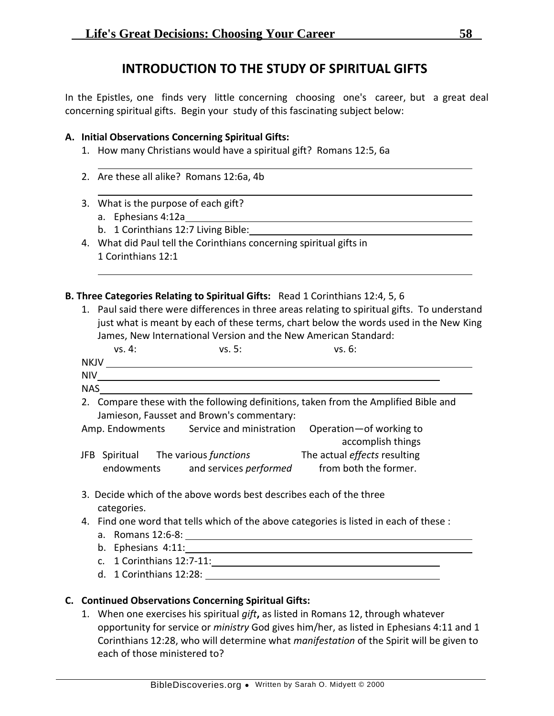# **INTRODUCTION TO THE STUDY OF SPIRITUAL GIFTS**

In the Epistles, one finds very little concerning choosing one's career, but a great deal concerning spiritual gifts. Begin your study of this fascinating subject below:

### **A. Initial Observations Concerning Spiritual Gifts:**

- 1. How many Christians would have a spiritual gift? Romans 12:5, 6a
- 2. Are these all alike? Romans 12:6a, 4b
- 3. What is the purpose of each gift?
	- a. Ephesians 4:12a
	- b. 1 Corinthians 12:7 Living Bible:
- 4. What did Paul tell the Corinthians concerning spiritual gifts in 1 Corinthians 12:1

### **B. Three Categories Relating to Spiritual Gifts:** Read 1 Corinthians 12:4, 5, 6

1. Paul said there were differences in three areas relating to spiritual gifts. To understand just what is meant by each of these terms, chart below the words used in the New King James, New International Version and the New American Standard:

| vs. 4:                                                                                                                           | vs. 5:                                   | vs. 6:                                         |  |  |  |  |
|----------------------------------------------------------------------------------------------------------------------------------|------------------------------------------|------------------------------------------------|--|--|--|--|
| <b>NKJV</b>                                                                                                                      |                                          |                                                |  |  |  |  |
| <b>NIV</b>                                                                                                                       |                                          |                                                |  |  |  |  |
| <b>NAS</b>                                                                                                                       |                                          |                                                |  |  |  |  |
| 2. Compare these with the following definitions, taken from the Amplified Bible and<br>Jamieson, Fausset and Brown's commentary: |                                          |                                                |  |  |  |  |
|                                                                                                                                  | Amp. Endowments Service and ministration | Operation - of working to<br>accomplish things |  |  |  |  |
| Spiritual<br>JFB -                                                                                                               | The various functions                    | The actual effects resulting                   |  |  |  |  |

- 3. Decide which of the above words best describes each of the three categories.
- 4. Find one word that tells which of the above categories is listed in each of these : a. Romans 12:6-8:

endowments and services *performed* from both the former.

- 
- b. Ephesians 4:11:
- c. 1 Corinthians 12:7-11:
- d. 1 Corinthians 12:28:

## **C. Continued Observations Concerning Spiritual Gifts:**

1. When one exercises his spiritual *gift***,** as listed in Romans 12, through whatever opportunity for service or *ministry* God gives him/her, as listed in Ephesians 4:11 and 1 Corinthians 12:28, who will determine what *manifestation* of the Spirit will be given to each of those ministered to?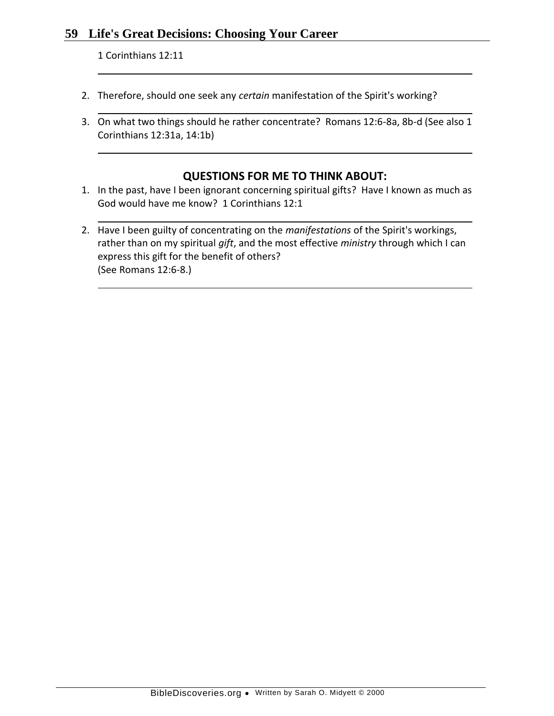1 Corinthians 12:11

- 2. Therefore, should one seek any *certain* manifestation of the Spirit's working?
- 3. On what two things should he rather concentrate? Romans 12:6-8a, 8b-d (See also 1 Corinthians 12:31a, 14:1b)

- 1. In the past, have I been ignorant concerning spiritual gifts? Have I known as much as God would have me know? 1 Corinthians 12:1
- 2. Have I been guilty of concentrating on the *manifestations* of the Spirit's workings, rather than on my spiritual *gift*, and the most effective *ministry* through which I can express this gift for the benefit of others? (See Romans 12:6-8.)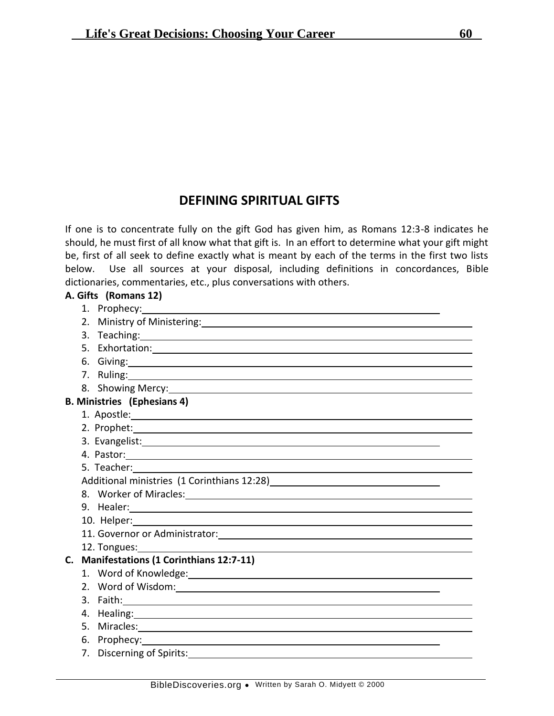# **DEFINING SPIRITUAL GIFTS**

If one is to concentrate fully on the gift God has given him, as Romans 12:3-8 indicates he should, he must first of all know what that gift is. In an effort to determine what your gift might be, first of all seek to define exactly what is meant by each of the terms in the first two lists below. Use all sources at your disposal, including definitions in concordances, Bible dictionaries, commentaries, etc., plus conversations with others.

## **A. Gifts (Romans 12)** 1. Prophecy: 2. Ministry of Ministering: 3. Teaching: 5. Exhortation: 6. Giving: 7. Ruling: 8. Showing Mercy: **B. Ministries (Ephesians 4)** 1. Apostle: 2. Prophet: 3. Evangelist: 4. Pastor: 5. Teacher: Additional ministries (1 Corinthians 12:28)<br>
<u>Landon Manuel Correlation</u> 8. Worker of Miracles: 9. Healer: 10. Helper: 11. Governor or Administrator: 12. Tongues: **C. Manifestations (1 Corinthians 12:7-11)** 1. Word of Knowledge: 2. Word of Wisdom: 3. Faith: 4. Healing: 5. Miracles: 6. Prophecy: 7. Discerning of Spirits: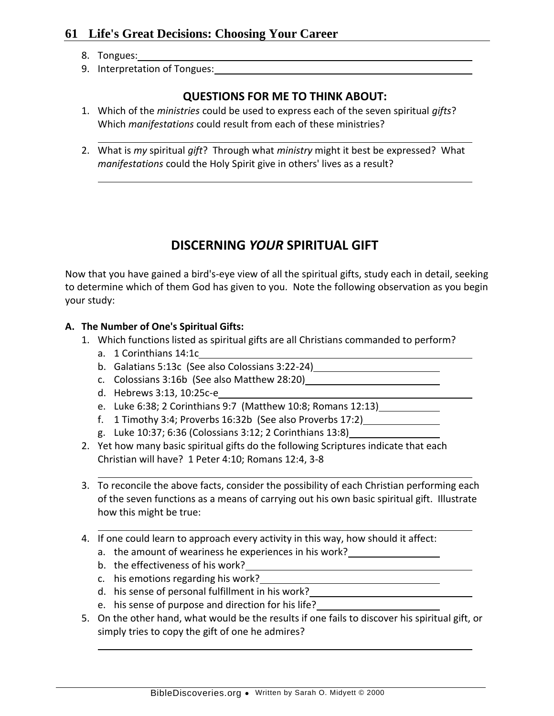- 8. Tongues:
- 9. Interpretation of Tongues:

# **QUESTIONS FOR ME TO THINK ABOUT:**

- 1. Which of the *ministries* could be used to express each of the seven spiritual *gifts*? Which *manifestations* could result from each of these ministries?
- 2. What is *my* spiritual *gift*? Through what *ministry* might it best be expressed? What *manifestations* could the Holy Spirit give in others' lives as a result?

# **DISCERNING** *YOUR* **SPIRITUAL GIFT**

Now that you have gained a bird's-eye view of all the spiritual gifts, study each in detail, seeking to determine which of them God has given to you. Note the following observation as you begin your study:

## **A. The Number of One's Spiritual Gifts:**

- 1. Which functions listed as spiritual gifts are all Christians commanded to perform?
	- a. 1 Corinthians 14:1c
	- b. Galatians 5:13c (See also Colossians 3:22-24)
	- c. Colossians 3:16b (See also Matthew 28:20)
	- d. Hebrews 3:13, 10:25c-e
	- e. Luke 6:38; 2 Corinthians 9:7 (Matthew 10:8; Romans 12:13)
	- f. 1 Timothy 3:4; Proverbs 16:32b (See also Proverbs 17:2)
	- g. Luke 10:37; 6:36 (Colossians 3:12; 2 Corinthians 13:8)
- 2. Yet how many basic spiritual gifts do the following Scriptures indicate that each Christian will have? 1 Peter 4:10; Romans 12:4, 3-8
- 3. To reconcile the above facts, consider the possibility of each Christian performing each of the seven functions as a means of carrying out his own basic spiritual gift. Illustrate how this might be true:
- 4. If one could learn to approach every activity in this way, how should it affect:
	- a. the amount of weariness he experiences in his work?
	- b. the effectiveness of his work?
	- c. his emotions regarding his work?
	- d. his sense of personal fulfillment in his work?
	- e. his sense of purpose and direction for his life?
- 5. On the other hand, what would be the results if one fails to discover his spiritual gift, or simply tries to copy the gift of one he admires?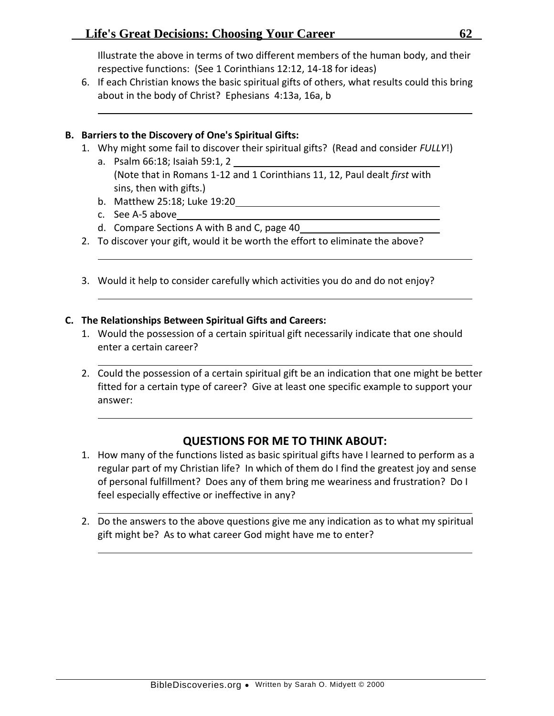Illustrate the above in terms of two different members of the human body, and their respective functions: (See 1 Corinthians 12:12, 14-18 for ideas)

6. If each Christian knows the basic spiritual gifts of others, what results could this bring about in the body of Christ? Ephesians 4:13a, 16a, b

### **B. Barriers to the Discovery of One's Spiritual Gifts:**

- 1. Why might some fail to discover their spiritual gifts? (Read and consider *FULLY*!)
	- a. Psalm 66:18; Isaiah 59:1, 2 (Note that in Romans 1-12 and 1 Corinthians 11, 12, Paul dealt *first* with sins, then with gifts.)
	- b. Matthew 25:18; Luke 19:20
	- c. See A-5 above
	- d. Compare Sections A with B and C, page 40
- 2. To discover your gift, would it be worth the effort to eliminate the above?
- 3. Would it help to consider carefully which activities you do and do not enjoy?

### **C. The Relationships Between Spiritual Gifts and Careers:**

- 1. Would the possession of a certain spiritual gift necessarily indicate that one should enter a certain career?
- 2. Could the possession of a certain spiritual gift be an indication that one might be better fitted for a certain type of career? Give at least one specific example to support your answer:

- 1. How many of the functions listed as basic spiritual gifts have I learned to perform as a regular part of my Christian life? In which of them do I find the greatest joy and sense of personal fulfillment? Does any of them bring me weariness and frustration? Do I feel especially effective or ineffective in any?
- 2. Do the answers to the above questions give me any indication as to what my spiritual gift might be? As to what career God might have me to enter?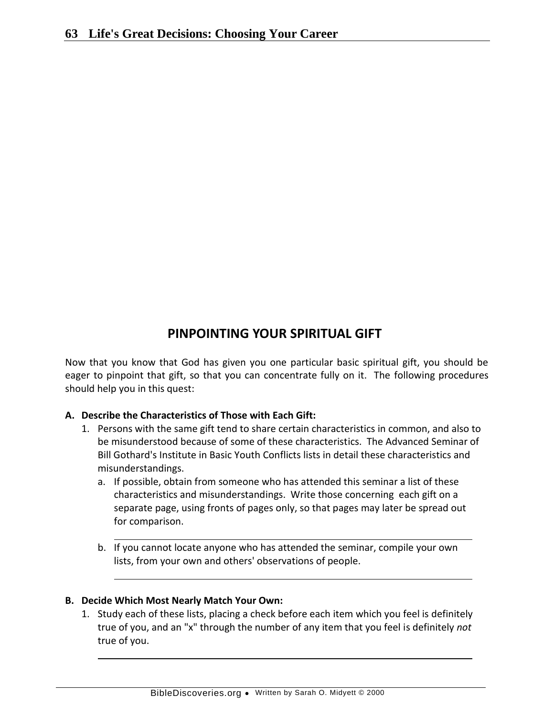# **PINPOINTING YOUR SPIRITUAL GIFT**

Now that you know that God has given you one particular basic spiritual gift, you should be eager to pinpoint that gift, so that you can concentrate fully on it. The following procedures should help you in this quest:

## **A. Describe the Characteristics of Those with Each Gift:**

- 1. Persons with the same gift tend to share certain characteristics in common, and also to be misunderstood because of some of these characteristics. The Advanced Seminar of Bill Gothard's Institute in Basic Youth Conflicts lists in detail these characteristics and misunderstandings.
	- a. If possible, obtain from someone who has attended this seminar a list of these characteristics and misunderstandings. Write those concerning each gift on a separate page, using fronts of pages only, so that pages may later be spread out for comparison.
	- b. If you cannot locate anyone who has attended the seminar, compile your own lists, from your own and others' observations of people.

## **B. Decide Which Most Nearly Match Your Own:**

1. Study each of these lists, placing a check before each item which you feel is definitely true of you, and an "x" through the number of any item that you feel is definitely *not* true of you.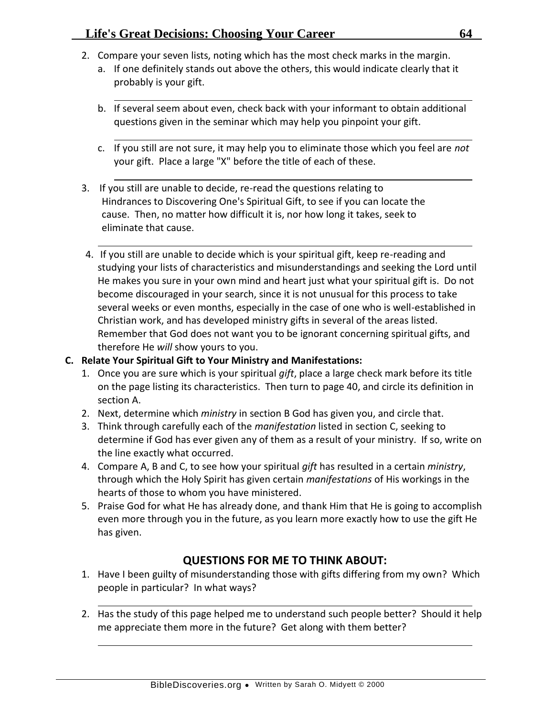- 2. Compare your seven lists, noting which has the most check marks in the margin.
	- a. If one definitely stands out above the others, this would indicate clearly that it probably is your gift.
	- b. If several seem about even, check back with your informant to obtain additional questions given in the seminar which may help you pinpoint your gift.
	- c. If you still are not sure, it may help you to eliminate those which you feel are *not* your gift. Place a large "X" before the title of each of these.
- 3. If you still are unable to decide, re-read the questions relating to Hindrances to Discovering One's Spiritual Gift, to see if you can locate the cause. Then, no matter how difficult it is, nor how long it takes, seek to eliminate that cause.
- 4. If you still are unable to decide which is your spiritual gift, keep re-reading and studying your lists of characteristics and misunderstandings and seeking the Lord until He makes you sure in your own mind and heart just what your spiritual gift is. Do not become discouraged in your search, since it is not unusual for this process to take several weeks or even months, especially in the case of one who is well-established in Christian work, and has developed ministry gifts in several of the areas listed. Remember that God does not want you to be ignorant concerning spiritual gifts, and therefore He *will* show yours to you.

## **C. Relate Your Spiritual Gift to Your Ministry and Manifestations:**

- 1. Once you are sure which is your spiritual *gift*, place a large check mark before its title on the page listing its characteristics. Then turn to page 40, and circle its definition in section A.
- 2. Next, determine which *ministry* in section B God has given you, and circle that.
- 3. Think through carefully each of the *manifestation* listed in section C, seeking to determine if God has ever given any of them as a result of your ministry. If so, write on the line exactly what occurred.
- 4. Compare A, B and C, to see how your spiritual *gift* has resulted in a certain *ministry*, through which the Holy Spirit has given certain *manifestations* of His workings in the hearts of those to whom you have ministered.
- 5. Praise God for what He has already done, and thank Him that He is going to accomplish even more through you in the future, as you learn more exactly how to use the gift He has given.

- 1. Have I been guilty of misunderstanding those with gifts differing from my own? Which people in particular? In what ways?
- 2. Has the study of this page helped me to understand such people better? Should it help me appreciate them more in the future? Get along with them better?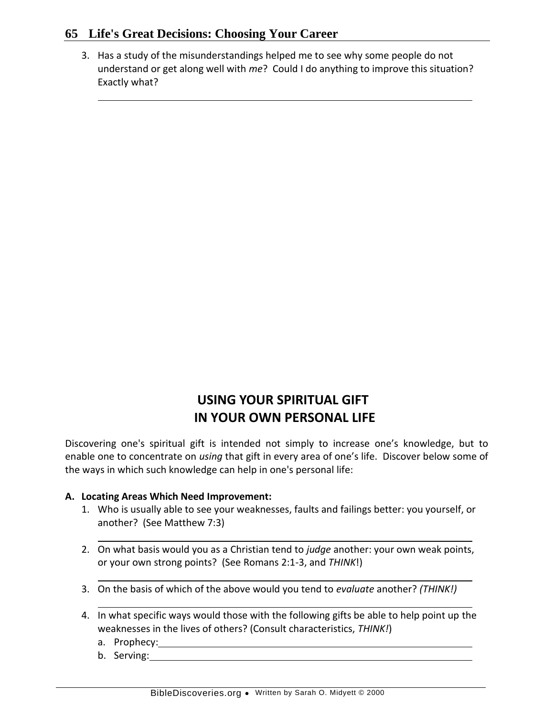3. Has a study of the misunderstandings helped me to see why some people do not understand or get along well with *me*? Could I do anything to improve this situation? Exactly what?

# **USING YOUR SPIRITUAL GIFT IN YOUR OWN PERSONAL LIFE**

Discovering one's spiritual gift is intended not simply to increase one's knowledge, but to enable one to concentrate on *using* that gift in every area of one's life. Discover below some of the ways in which such knowledge can help in one's personal life:

## **A. Locating Areas Which Need Improvement:**

- 1. Who is usually able to see your weaknesses, faults and failings better: you yourself, or another? (See Matthew 7:3)
- 2. On what basis would you as a Christian tend to *judge* another: your own weak points, or your own strong points? (See Romans 2:1-3, and *THINK*!)
- 3. On the basis of which of the above would you tend to *evaluate* another? *(THINK!)*
- 4. In what specific ways would those with the following gifts be able to help point up the weaknesses in the lives of others? (Consult characteristics, *THINK!*)
	- a. Prophecy:
	- b. Serving: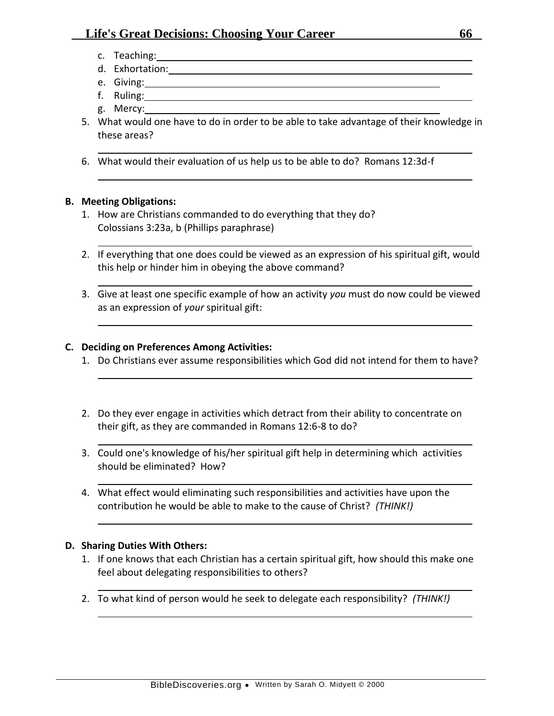- c. Teaching:
- d. Exhortation:
- e. Giving:
- f. Ruling:
- g. Mercy:
- 5. What would one have to do in order to be able to take advantage of their knowledge in these areas?
- 6. What would their evaluation of us help us to be able to do? Romans 12:3d-f

### **B. Meeting Obligations:**

- 1. How are Christians commanded to do everything that they do? Colossians 3:23a, b (Phillips paraphrase)
- 2. If everything that one does could be viewed as an expression of his spiritual gift, would this help or hinder him in obeying the above command?
- 3. Give at least one specific example of how an activity *you* must do now could be viewed as an expression of *your* spiritual gift:

### **C. Deciding on Preferences Among Activities:**

- 1. Do Christians ever assume responsibilities which God did not intend for them to have?
- 2. Do they ever engage in activities which detract from their ability to concentrate on their gift, as they are commanded in Romans 12:6-8 to do?
- 3. Could one's knowledge of his/her spiritual gift help in determining which activities should be eliminated? How?
- 4. What effect would eliminating such responsibilities and activities have upon the contribution he would be able to make to the cause of Christ? *(THINK!)*

### **D. Sharing Duties With Others:**

- 1. If one knows that each Christian has a certain spiritual gift, how should this make one feel about delegating responsibilities to others?
- 2. To what kind of person would he seek to delegate each responsibility? *(THINK!)*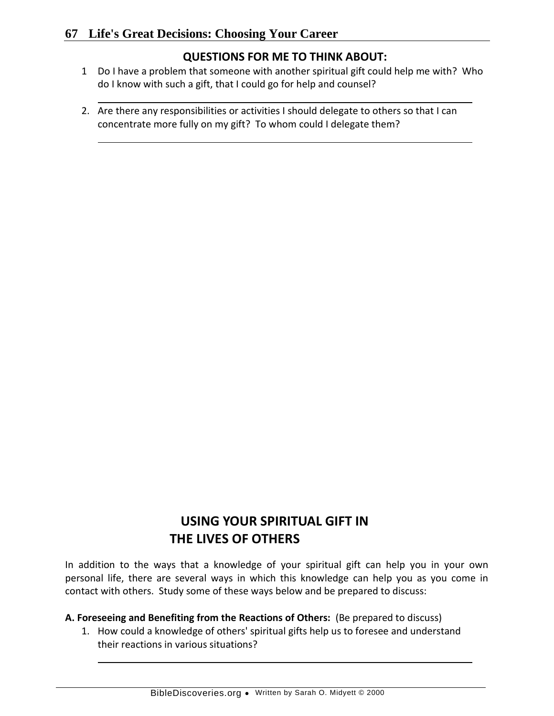# **QUESTIONS FOR ME TO THINK ABOUT:**

- 1 Do I have a problem that someone with another spiritual gift could help me with? Who do I know with such a gift, that I could go for help and counsel?
- 2. Are there any responsibilities or activities I should delegate to others so that I can concentrate more fully on my gift? To whom could I delegate them?

# **USING YOUR SPIRITUAL GIFT IN THE LIVES OF OTHERS**

In addition to the ways that a knowledge of your spiritual gift can help you in your own personal life, there are several ways in which this knowledge can help you as you come in contact with others. Study some of these ways below and be prepared to discuss:

## **A. Foreseeing and Benefiting from the Reactions of Others:** (Be prepared to discuss)

1. How could a knowledge of others' spiritual gifts help us to foresee and understand their reactions in various situations?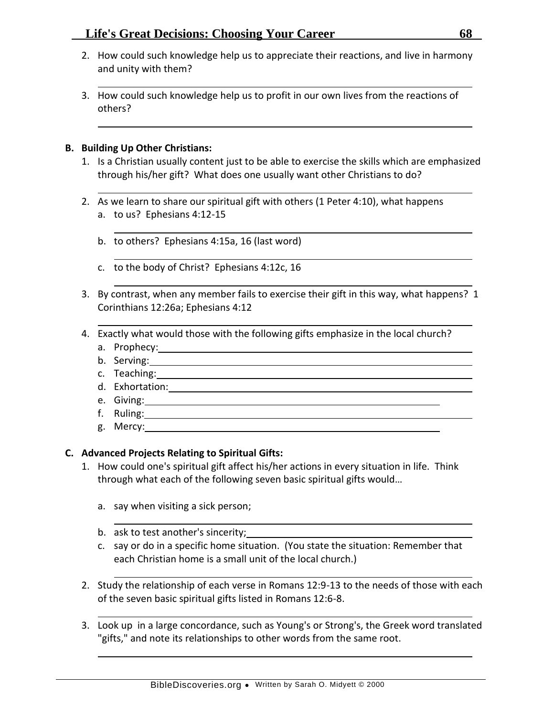- 2. How could such knowledge help us to appreciate their reactions, and live in harmony and unity with them?
- 3. How could such knowledge help us to profit in our own lives from the reactions of others?

### **B. Building Up Other Christians:**

- 1. Is a Christian usually content just to be able to exercise the skills which are emphasized through his/her gift? What does one usually want other Christians to do?
- 2. As we learn to share our spiritual gift with others (1 Peter 4:10), what happens a. to us? Ephesians 4:12-15
	- b. to others? Ephesians 4:15a, 16 (last word)
	- c. to the body of Christ? Ephesians 4:12c, 16
- 3. By contrast, when any member fails to exercise their gift in this way, what happens? 1 Corinthians 12:26a; Ephesians 4:12
- 4. Exactly what would those with the following gifts emphasize in the local church?
	- a. Prophecy:
	- b. Serving:
	- c. Teaching:
	- d. Exhortation:
	- e. Giving:
	- f. Ruling:
	- g. Mercy:

## **C. Advanced Projects Relating to Spiritual Gifts:**

- 1. How could one's spiritual gift affect his/her actions in every situation in life. Think through what each of the following seven basic spiritual gifts would…
	- a. say when visiting a sick person;
	- b. ask to test another's sincerity;
	- c. say or do in a specific home situation. (You state the situation: Remember that each Christian home is a small unit of the local church.)
- 2. Study the relationship of each verse in Romans 12:9-13 to the needs of those with each of the seven basic spiritual gifts listed in Romans 12:6-8.
- 3. Look up in a large concordance, such as Young's or Strong's, the Greek word translated "gifts," and note its relationships to other words from the same root.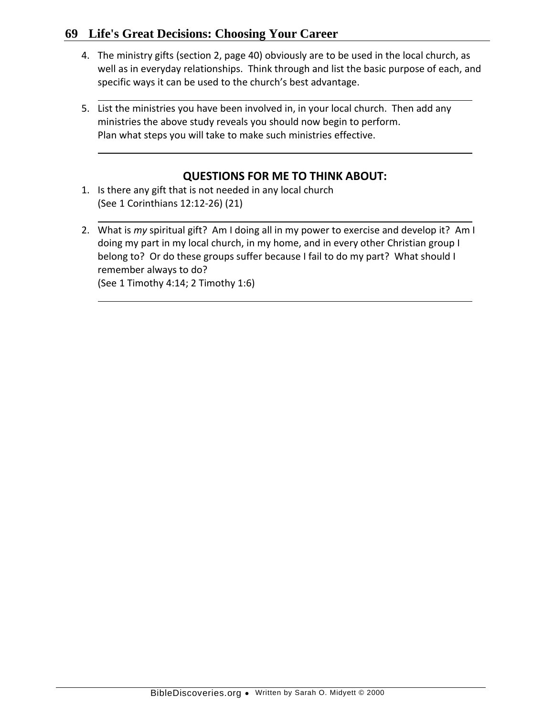- 4. The ministry gifts (section 2, page 40) obviously are to be used in the local church, as well as in everyday relationships. Think through and list the basic purpose of each, and specific ways it can be used to the church's best advantage.
- 5. List the ministries you have been involved in, in your local church. Then add any ministries the above study reveals you should now begin to perform. Plan what steps you will take to make such ministries effective.

- 1. Is there any gift that is not needed in any local church (See 1 Corinthians 12:12-26) (21)
- 2. What is *my* spiritual gift? Am I doing all in my power to exercise and develop it? Am I doing my part in my local church, in my home, and in every other Christian group I belong to? Or do these groups suffer because I fail to do my part? What should I remember always to do? (See 1 Timothy 4:14; 2 Timothy 1:6)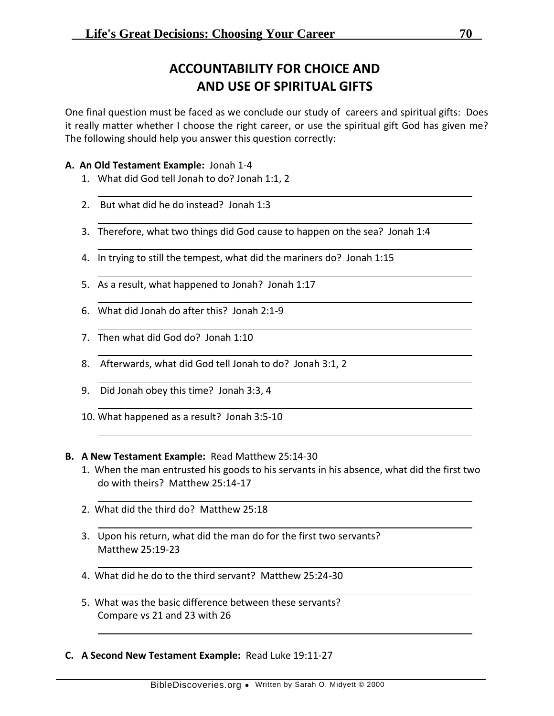# **ACCOUNTABILITY FOR CHOICE AND AND USE OF SPIRITUAL GIFTS**

One final question must be faced as we conclude our study of careers and spiritual gifts: Does it really matter whether I choose the right career, or use the spiritual gift God has given me? The following should help you answer this question correctly:

### **A. An Old Testament Example:** Jonah 1-4

- 1. What did God tell Jonah to do? Jonah 1:1, 2
- 2. But what did he do instead? Jonah 1:3
- 3. Therefore, what two things did God cause to happen on the sea? Jonah 1:4
- 4. In trying to still the tempest, what did the mariners do? Jonah 1:15
- 5. As a result, what happened to Jonah? Jonah 1:17
- 6. What did Jonah do after this? Jonah 2:1-9
- 7. Then what did God do? Jonah 1:10
- 8. Afterwards, what did God tell Jonah to do? Jonah 3:1, 2
- 9. Did Jonah obey this time? Jonah 3:3, 4
- 10. What happened as a result? Jonah 3:5-10

### **B. A New Testament Example:** Read Matthew 25:14-30

- 1. When the man entrusted his goods to his servants in his absence, what did the first two do with theirs? Matthew 25:14-17
- 2. What did the third do? Matthew 25:18
- 3. Upon his return, what did the man do for the first two servants? Matthew 25:19-23
- 4. What did he do to the third servant? Matthew 25:24-30
- 5. What was the basic difference between these servants? Compare vs 21 and 23 with 26
- **C. A Second New Testament Example:** Read Luke 19:11-27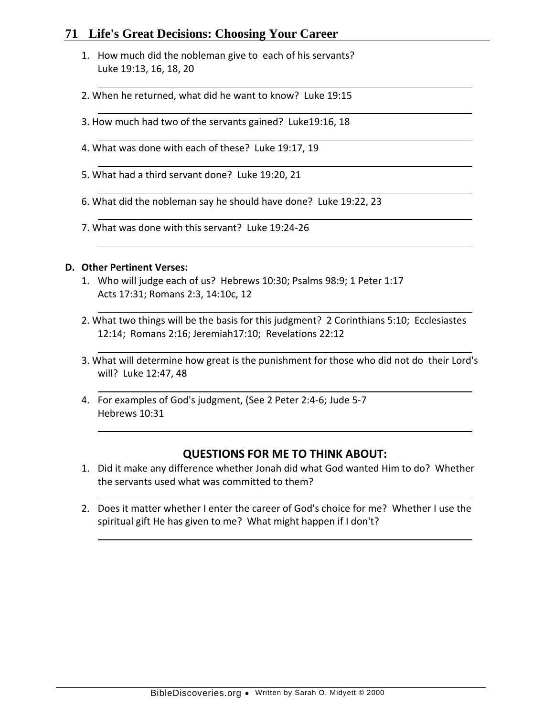- 1. How much did the nobleman give to each of his servants? Luke 19:13, 16, 18, 20
- 2. When he returned, what did he want to know? Luke 19:15
- 3. How much had two of the servants gained? Luke19:16, 18
- 4. What was done with each of these? Luke 19:17, 19
- 5. What had a third servant done? Luke 19:20, 21
- 6. What did the nobleman say he should have done? Luke 19:22, 23
- 7. What was done with this servant? Luke 19:24-26

#### **D. Other Pertinent Verses:**

- 1. Who will judge each of us? Hebrews 10:30; Psalms 98:9; 1 Peter 1:17 Acts 17:31; Romans 2:3, 14:10c, 12
- 2. What two things will be the basis for this judgment? 2 Corinthians 5:10; Ecclesiastes 12:14; Romans 2:16; Jeremiah17:10; Revelations 22:12
- 3. What will determine how great is the punishment for those who did not do their Lord's will? Luke 12:47, 48
- 4. For examples of God's judgment, (See 2 Peter 2:4-6; Jude 5-7 Hebrews 10:31

- 1. Did it make any difference whether Jonah did what God wanted Him to do? Whether the servants used what was committed to them?
- 2. Does it matter whether I enter the career of God's choice for me? Whether I use the spiritual gift He has given to me? What might happen if I don't?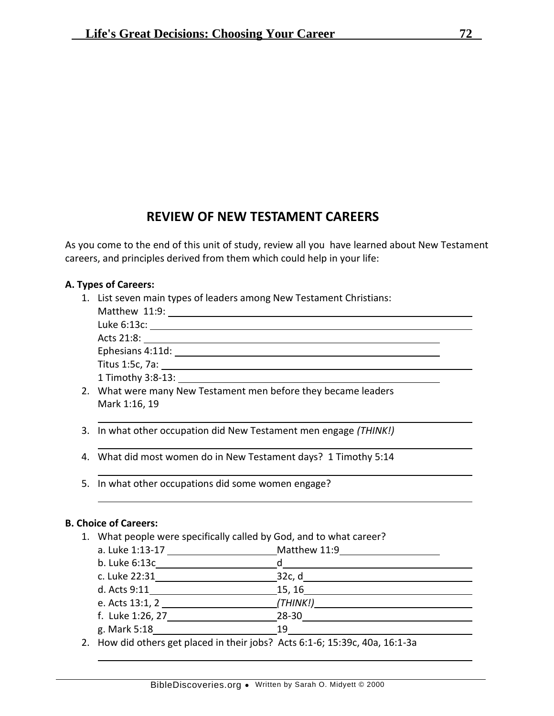# **REVIEW OF NEW TESTAMENT CAREERS**

As you come to the end of this unit of study, review all you have learned about New Testament careers, and principles derived from them which could help in your life:

### **A. Types of Careers:**

1. List seven main types of leaders among New Testament Christians:

| Matthew 11:9:                                                  |
|----------------------------------------------------------------|
| Luke 6:13c:                                                    |
| Acts 21:8:                                                     |
| Ephesians 4:11d:                                               |
| Titus 1:5c, 7a:                                                |
| 1 Timothy 3:8-13:                                              |
| 2. What were many New Testament men before they became leaders |

- 3. In what other occupation did New Testament men engage *(THINK!)*
- 4. What did most women do in New Testament days? 1 Timothy 5:14
- 5. In what other occupations did some women engage?

### **B. Choice of Careers:**

Mark 1:16, 19

1. What people were specifically called by God, and to what career?

| a. Luke 1:13-17  | Matthew 11:9                                                                                                       |  |
|------------------|--------------------------------------------------------------------------------------------------------------------|--|
| b. Luke 6:13c    | d                                                                                                                  |  |
| c. Luke 22:31    | 32c, d                                                                                                             |  |
| d. Acts 9:11     | 15, 16                                                                                                             |  |
| e. Acts 13:1, 2  | (THINK!)                                                                                                           |  |
| f. Luke 1:26, 27 | $28 - 30$                                                                                                          |  |
| g. Mark 5:18     | 19                                                                                                                 |  |
|                  | $\mathbf{a}$ and $\mathbf{a}$ and $\mathbf{a}$ are $\mathbf{a}$ and $\mathbf{a}$ and $\mathbf{a}$ and $\mathbf{a}$ |  |

2. How did others get placed in their jobs? Acts 6:1-6; 15:39c, 40a, 16:1-3a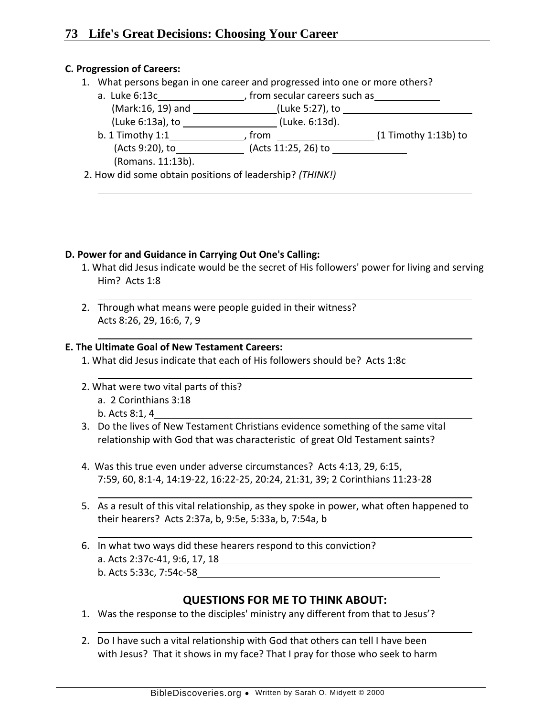### **C. Progression of Careers:**

1. What persons began in one career and progressed into one or more others?

| a. Luke 6:13c      | from secular careers such as |                        |
|--------------------|------------------------------|------------------------|
| (Mark:16, 19) and  | (Luke 5:27), to              |                        |
| (Luke 6:13a), to   | (Luke. 6:13d).               |                        |
| $b. 1$ Timothy 1:1 | from                         | $(1$ Timothy 1:13b) to |
| (Acts 9:20), to    | (Acts 11:25, 26) to          |                        |
| (Romans. 11:13b).  |                              |                        |
|                    |                              |                        |

2. How did some obtain positions of leadership? *(THINK!)*

### **D. Power for and Guidance in Carrying Out One's Calling:**

- 1. What did Jesus indicate would be the secret of His followers' power for living and serving Him? Acts 1:8
- 2. Through what means were people guided in their witness? Acts 8:26, 29, 16:6, 7, 9

### **E. The Ultimate Goal of New Testament Careers:**

- 1. What did Jesus indicate that each of His followers should be? Acts 1:8c
- 2. What were two vital parts of this? a. 2 Corinthians 3:18
	- b. Acts 8:1, 4
- 3. Do the lives of New Testament Christians evidence something of the same vital relationship with God that was characteristic of great Old Testament saints?
- 4. Was this true even under adverse circumstances? Acts 4:13, 29, 6:15, 7:59, 60, 8:1-4, 14:19-22, 16:22-25, 20:24, 21:31, 39; 2 Corinthians 11:23-28
- 5. As a result of this vital relationship, as they spoke in power, what often happened to their hearers? Acts 2:37a, b, 9:5e, 5:33a, b, 7:54a, b
- 6. In what two ways did these hearers respond to this conviction? a. Acts 2:37c-41, 9:6, 17, 18 b. Acts 5:33c, 7:54c-58

## **QUESTIONS FOR ME TO THINK ABOUT:**

- 1. Was the response to the disciples' ministry any different from that to Jesus'?
- 2. Do I have such a vital relationship with God that others can tell I have been with Jesus? That it shows in my face? That I pray for those who seek to harm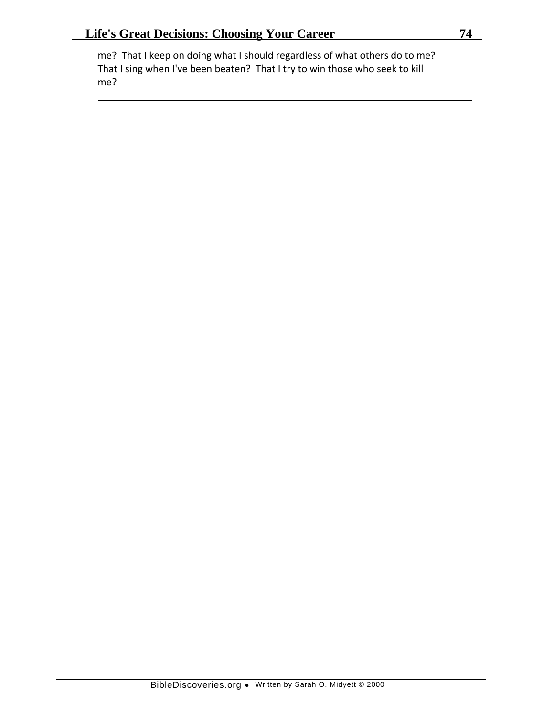me? That I keep on doing what I should regardless of what others do to me? That I sing when I've been beaten? That I try to win those who seek to kill me?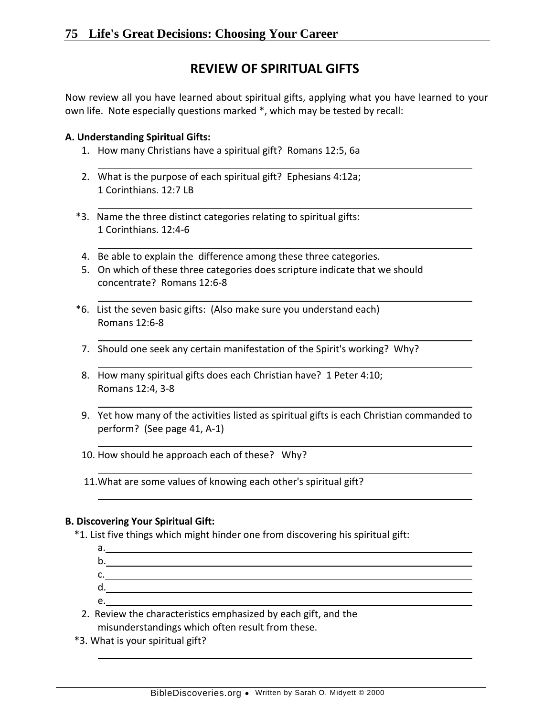# **REVIEW OF SPIRITUAL GIFTS**

Now review all you have learned about spiritual gifts, applying what you have learned to your own life. Note especially questions marked \*, which may be tested by recall:

### **A. Understanding Spiritual Gifts:**

- 1. How many Christians have a spiritual gift? Romans 12:5, 6a
- 2. What is the purpose of each spiritual gift? Ephesians 4:12a; 1 Corinthians. 12:7 LB
- \*3. Name the three distinct categories relating to spiritual gifts: 1 Corinthians. 12:4-6
- 4. Be able to explain the difference among these three categories.
- 5. On which of these three categories does scripture indicate that we should concentrate? Romans 12:6-8
- \*6. List the seven basic gifts: (Also make sure you understand each) Romans 12:6-8
- 7. Should one seek any certain manifestation of the Spirit's working? Why?
- 8. How many spiritual gifts does each Christian have? 1 Peter 4:10; Romans 12:4, 3-8
- 9. Yet how many of the activities listed as spiritual gifts is each Christian commanded to perform? (See page 41, A-1)

10. How should he approach each of these? Why?

11.What are some values of knowing each other's spiritual gift?

### **B. Discovering Your Spiritual Gift:**

\*1. List five things which might hinder one from discovering his spiritual gift:

a. b. c. The contract of the contract of the contract of the contract of the contract of the contract of the contract of the contract of the contract of the contract of the contract of the contract of the contract of the contrac d. e.

2. Review the characteristics emphasized by each gift, and the misunderstandings which often result from these.

\*3. What is your spiritual gift?